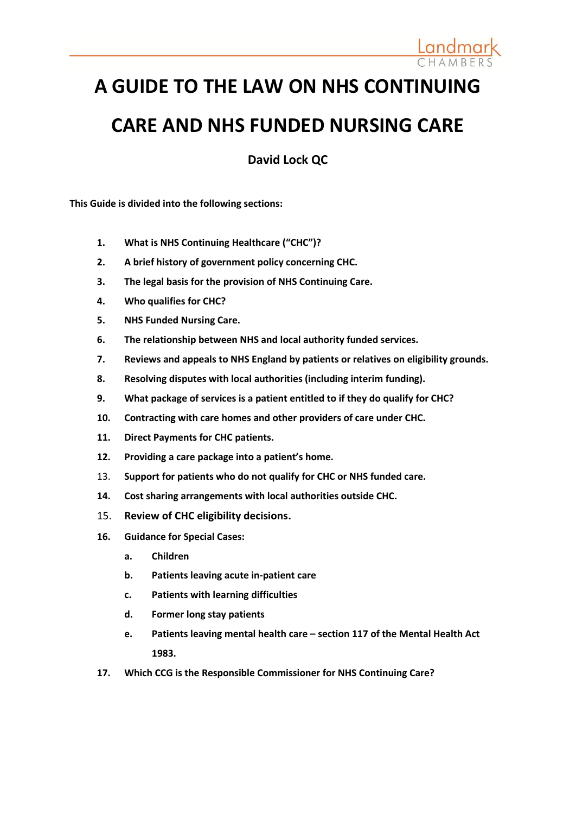

# **A GUIDE TO THE LAW ON NHS CONTINUING**

# **CARE AND NHS FUNDED NURSING CARE**

**David Lock QC**

**This Guide is divided into the following sections:**

- **1. What is NHS Continuing Healthcare ("CHC")?**
- **2. A brief history of government policy concerning CHC.**
- **3. The legal basis for the provision of NHS Continuing Care.**
- **4. Who qualifies for CHC?**
- **5. NHS Funded Nursing Care.**
- **6. The relationship between NHS and local authority funded services.**
- **7. Reviews and appeals to NHS England by patients or relatives on eligibility grounds.**
- **8. Resolving disputes with local authorities (including interim funding).**
- **9. What package of services is a patient entitled to if they do qualify for CHC?**
- **10. Contracting with care homes and other providers of care under CHC.**
- **11. Direct Payments for CHC patients.**
- **12. Providing a care package into a patient's home.**
- 13. **Support for patients who do not qualify for CHC or NHS funded care.**
- **14. Cost sharing arrangements with local authorities outside CHC.**
- 15. **Review of CHC eligibility decisions.**
- **16. Guidance for Special Cases:**
	- **a. Children**
	- **b. Patients leaving acute in-patient care**
	- **c. Patients with learning difficulties**
	- **d. Former long stay patients**
	- **e. Patients leaving mental health care – section 117 of the Mental Health Act 1983.**
- **17. Which CCG is the Responsible Commissioner for NHS Continuing Care?**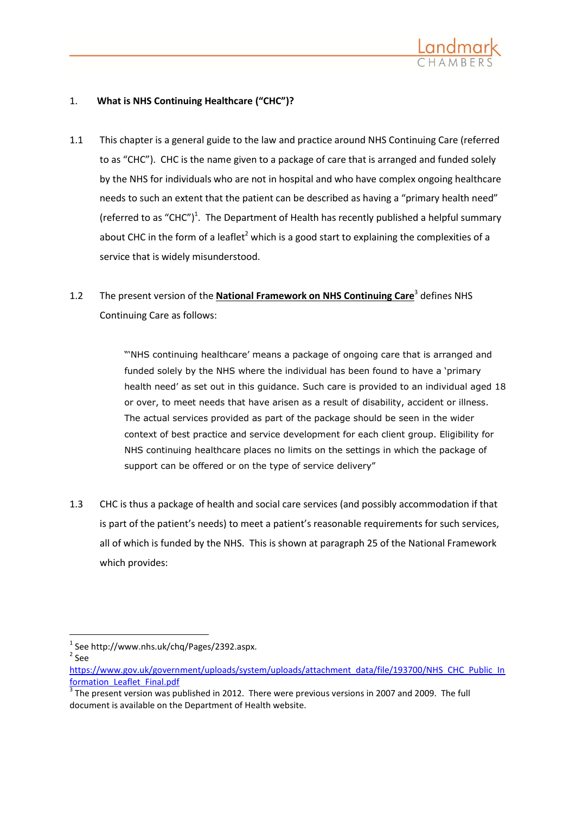

# 1. **What is NHS Continuing Healthcare ("CHC")?**

1.1 This chapter is a general guide to the law and practice around NHS Continuing Care (referred to as "CHC"). CHC is the name given to a package of care that is arranged and funded solely by the NHS for individuals who are not in hospital and who have complex ongoing healthcare needs to such an extent that the patient can be described as having a "primary health need" (referred to as "CHC")<sup>1</sup>. The Department of Health has recently published a helpful summary about CHC in the form of a leaflet<sup>2</sup> which is a good start to explaining the complexities of a service that is widely misunderstood.

# 1.2 The present version of the **[National Framework on NHS Continuing Care](https://www.gov.uk/government/publications/national-framework-for-nhs-continuing-healthcare-and-nhs-funded-nursing-care)**<sup>3</sup> defines NHS Continuing Care as follows:

"'NHS continuing healthcare' means a package of ongoing care that is arranged and funded solely by the NHS where the individual has been found to have a 'primary health need' as set out in this guidance. Such care is provided to an individual aged 18 or over, to meet needs that have arisen as a result of disability, accident or illness. The actual services provided as part of the package should be seen in the wider context of best practice and service development for each client group. Eligibility for NHS continuing healthcare places no limits on the settings in which the package of support can be offered or on the type of service delivery"

1.3 CHC is thus a package of health and social care services (and possibly accommodation if that is part of the patient's needs) to meet a patient's reasonable requirements for such services, all of which is funded by the NHS. This is shown at paragraph 25 of the National Framework which provides:

-

<sup>1</sup> See http://www.nhs.uk/chq/Pages/2392.aspx.

 $2$  See

[https://www.gov.uk/government/uploads/system/uploads/attachment\\_data/file/193700/NHS\\_CHC\\_Public\\_In](https://www.gov.uk/government/uploads/system/uploads/attachment_data/file/193700/NHS_CHC_Public_Information_Leaflet_Final.pdf) [formation\\_Leaflet\\_Final.pdf](https://www.gov.uk/government/uploads/system/uploads/attachment_data/file/193700/NHS_CHC_Public_Information_Leaflet_Final.pdf)

 $3$  The present version was published in 2012. There were previous versions in 2007 and 2009. The full document is available on the Department of Health website.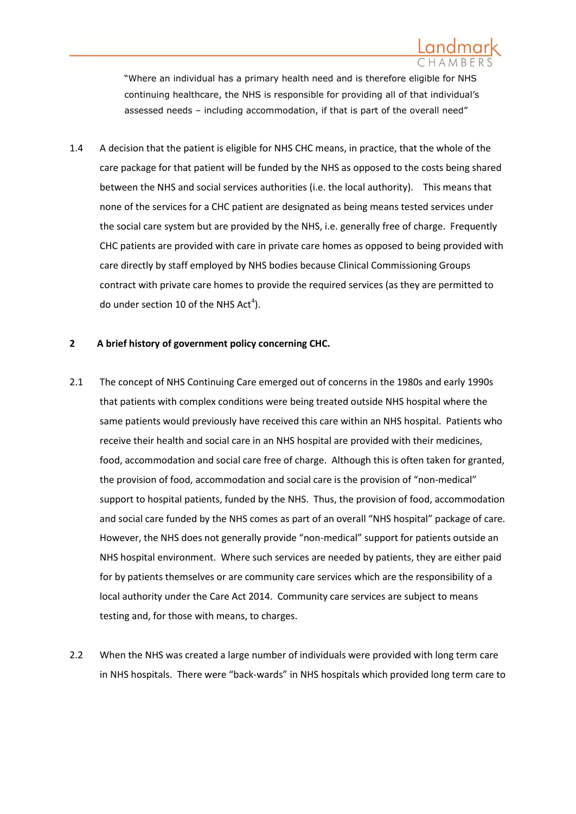

"Where an individual has a primary health need and is therefore eligible for NHS continuing healthcare, the NHS is responsible for providing all of that individual's assessed needs – including accommodation, if that is part of the overall need"

1.4 A decision that the patient is eligible for NHS CHC means, in practice, that the whole of the care package for that patient will be funded by the NHS as opposed to the costs being shared between the NHS and social services authorities (i.e. the local authority). This means that none of the services for a CHC patient are designated as being means tested services under the social care system but are provided by the NHS, i.e. generally free of charge. Frequently CHC patients are provided with care in private care homes as opposed to being provided with care directly by staff employed by NHS bodies because Clinical Commissioning Groups contract with private care homes to provide the required services (as they are permitted to do under section 10 of the NHS Act $^4$ ).

# **2 A brief history of government policy concerning CHC.**

- 2.1 The concept of NHS Continuing Care emerged out of concerns in the 1980s and early 1990s that patients with complex conditions were being treated outside NHS hospital where the same patients would previously have received this care within an NHS hospital. Patients who receive their health and social care in an NHS hospital are provided with their medicines, food, accommodation and social care free of charge. Although this is often taken for granted, the provision of food, accommodation and social care is the provision of "non-medical" support to hospital patients, funded by the NHS. Thus, the provision of food, accommodation and social care funded by the NHS comes as part of an overall "NHS hospital" package of care. However, the NHS does not generally provide "non-medical" support for patients outside an NHS hospital environment. Where such services are needed by patients, they are either paid for by patients themselves or are community care services which are the responsibility of a local authority under the Care Act 2014. Community care services are subject to means testing and, for those with means, to charges.
- 2.2 When the NHS was created a large number of individuals were provided with long term care in NHS hospitals. There were "back-wards" in NHS hospitals which provided long term care to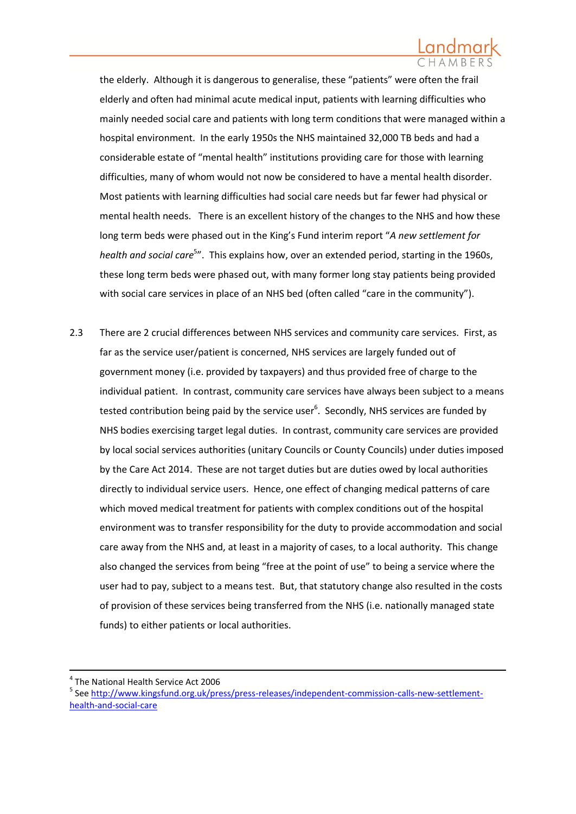the elderly. Although it is dangerous to generalise, these "patients" were often the frail elderly and often had minimal acute medical input, patients with learning difficulties who mainly needed social care and patients with long term conditions that were managed within a hospital environment. In the early 1950s the NHS maintained 32,000 TB beds and had a considerable estate of "mental health" institutions providing care for those with learning difficulties, many of whom would not now be considered to have a mental health disorder. Most patients with learning difficulties had social care needs but far fewer had physical or mental health needs. There is an excellent history of the changes to the NHS and how these long term beds were phased out in the King's Fund interim report "*A new settlement for*  health and social care<sup>5</sup>". This explains how, over an extended period, starting in the 1960s, these long term beds were phased out, with many former long stay patients being provided with social care services in place of an NHS bed (often called "care in the community").

2.3 There are 2 crucial differences between NHS services and community care services. First, as far as the service user/patient is concerned, NHS services are largely funded out of government money (i.e. provided by taxpayers) and thus provided free of charge to the individual patient. In contrast, community care services have always been subject to a means tested contribution being paid by the service user<sup>6</sup>. Secondly, NHS services are funded by NHS bodies exercising target legal duties. In contrast, community care services are provided by local social services authorities (unitary Councils or County Councils) under duties imposed by the Care Act 2014. These are not target duties but are duties owed by local authorities directly to individual service users. Hence, one effect of changing medical patterns of care which moved medical treatment for patients with complex conditions out of the hospital environment was to transfer responsibility for the duty to provide accommodation and social care away from the NHS and, at least in a majority of cases, to a local authority. This change also changed the services from being "free at the point of use" to being a service where the user had to pay, subject to a means test. But, that statutory change also resulted in the costs of provision of these services being transferred from the NHS (i.e. nationally managed state funds) to either patients or local authorities.

4 The National Health Service Act 2006

-

<sup>&</sup>lt;sup>5</sup> See [http://www.kingsfund.org.uk/press/press-releases/independent-commission-calls-new-settlement](http://www.kingsfund.org.uk/press/press-releases/independent-commission-calls-new-settlement-health-and-social-care)[health-and-social-care](http://www.kingsfund.org.uk/press/press-releases/independent-commission-calls-new-settlement-health-and-social-care)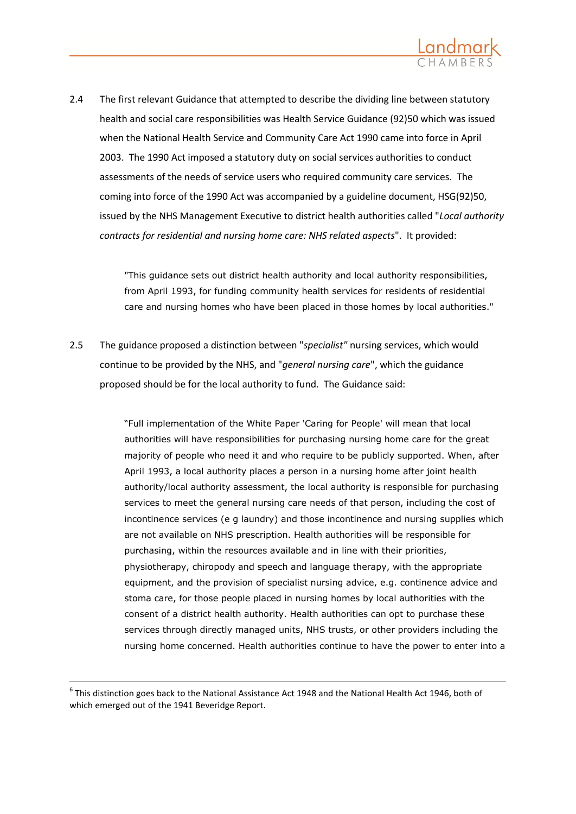

2.4 The first relevant Guidance that attempted to describe the dividing line between statutory health and social care responsibilities was Health Service Guidance (92)50 which was issued when the National Health Service and Community Care Act 1990 came into force in April 2003. The 1990 Act imposed a statutory duty on social services authorities to conduct assessments of the needs of service users who required community care services. The coming into force of the 1990 Act was accompanied by a guideline document, HSG(92)50, issued by the NHS Management Executive to district health authorities called "*Local authority contracts for residential and nursing home care: NHS related aspects*". It provided:

> "This guidance sets out district health authority and local authority responsibilities, from April 1993, for funding community health services for residents of residential care and nursing homes who have been placed in those homes by local authorities."

2.5 The guidance proposed a distinction between "*specialist"* nursing services, which would continue to be provided by the NHS, and "*general nursing care*", which the guidance proposed should be for the local authority to fund. The Guidance said:

> "Full implementation of the White Paper 'Caring for People' will mean that local authorities will have responsibilities for purchasing nursing home care for the great majority of people who need it and who require to be publicly supported. When, after April 1993, a local authority places a person in a nursing home after joint health authority/local authority assessment, the local authority is responsible for purchasing services to meet the general nursing care needs of that person, including the cost of incontinence services (e g laundry) and those incontinence and nursing supplies which are not available on NHS prescription. Health authorities will be responsible for purchasing, within the resources available and in line with their priorities, physiotherapy, chiropody and speech and language therapy, with the appropriate equipment, and the provision of specialist nursing advice, e.g. continence advice and stoma care, for those people placed in nursing homes by local authorities with the consent of a district health authority. Health authorities can opt to purchase these services through directly managed units, NHS trusts, or other providers including the nursing home concerned. Health authorities continue to have the power to enter into a

-

 $^6$  This distinction goes back to the National Assistance Act 1948 and the National Health Act 1946, both of which emerged out of the 1941 Beveridge Report.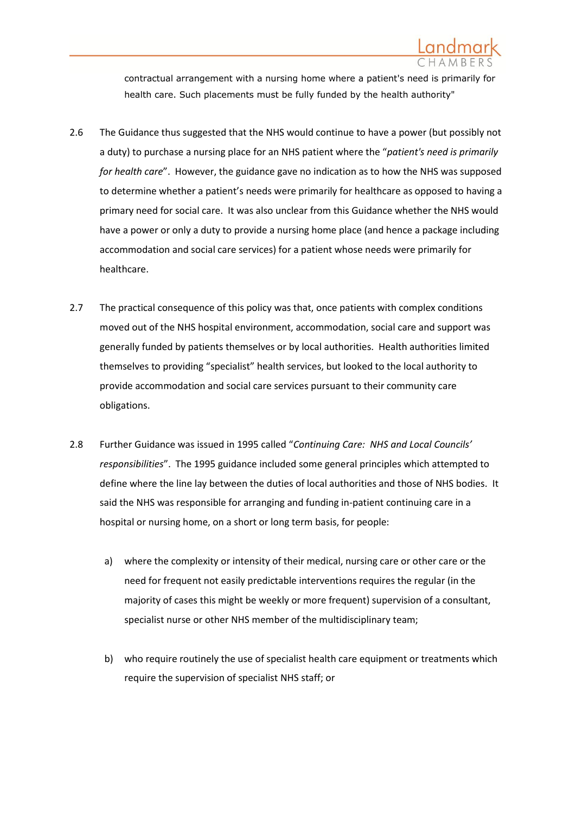

contractual arrangement with a nursing home where a patient's need is primarily for health care. Such placements must be fully funded by the health authority"

- 2.6 The Guidance thus suggested that the NHS would continue to have a power (but possibly not a duty) to purchase a nursing place for an NHS patient where the "*patient's need is primarily for health care*". However, the guidance gave no indication as to how the NHS was supposed to determine whether a patient's needs were primarily for healthcare as opposed to having a primary need for social care. It was also unclear from this Guidance whether the NHS would have a power or only a duty to provide a nursing home place (and hence a package including accommodation and social care services) for a patient whose needs were primarily for healthcare.
- 2.7 The practical consequence of this policy was that, once patients with complex conditions moved out of the NHS hospital environment, accommodation, social care and support was generally funded by patients themselves or by local authorities. Health authorities limited themselves to providing "specialist" health services, but looked to the local authority to provide accommodation and social care services pursuant to their community care obligations.
- 2.8 Further Guidance was issued in 1995 called "*Continuing Care: NHS and Local Councils' responsibilities*". The 1995 guidance included some general principles which attempted to define where the line lay between the duties of local authorities and those of NHS bodies. It said the NHS was responsible for arranging and funding in-patient continuing care in a hospital or nursing home, on a short or long term basis, for people:
	- a) where the complexity or intensity of their medical, nursing care or other care or the need for frequent not easily predictable interventions requires the regular (in the majority of cases this might be weekly or more frequent) supervision of a consultant, specialist nurse or other NHS member of the multidisciplinary team;
	- b) who require routinely the use of specialist health care equipment or treatments which require the supervision of specialist NHS staff; or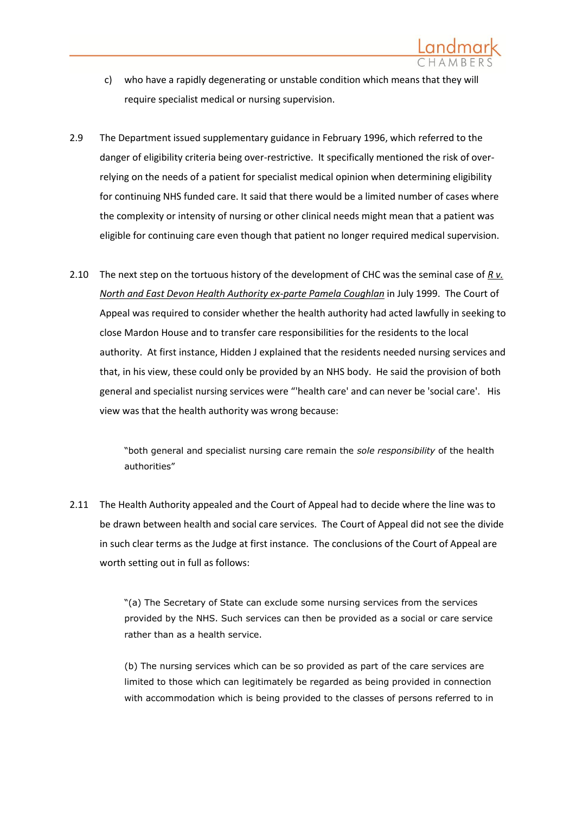- c) who have a rapidly degenerating or unstable condition which means that they will require specialist medical or nursing supervision.
- 2.9 The Department issued supplementary guidance in February 1996, which referred to the danger of eligibility criteria being over-restrictive. It specifically mentioned the risk of overrelying on the needs of a patient for specialist medical opinion when determining eligibility for continuing NHS funded care. It said that there would be a limited number of cases where the complexity or intensity of nursing or other clinical needs might mean that a patient was eligible for continuing care even though that patient no longer required medical supervision.
- 2.10 The next step on the tortuous history of the development of CHC was the seminal case of *[R v.](http://www.bailii.org/ew/cases/EWCA/Civ/1999/1871.html)  [North and East Devon Health Authority ex-parte Pamela Coughlan](http://www.bailii.org/ew/cases/EWCA/Civ/1999/1871.html)* in July 1999. The Court of Appeal was required to consider whether the health authority had acted lawfully in seeking to close Mardon House and to transfer care responsibilities for the residents to the local authority. At first instance, Hidden J explained that the residents needed nursing services and that, in his view, these could only be provided by an NHS body. He said the provision of both general and specialist nursing services were "'health care' and can never be 'social care'. His view was that the health authority was wrong because:

"both general and specialist nursing care remain the *sole responsibility* of the health authorities"

2.11 The Health Authority appealed and the Court of Appeal had to decide where the line was to be drawn between health and social care services. The Court of Appeal did not see the divide in such clear terms as the Judge at first instance. The conclusions of the Court of Appeal are worth setting out in full as follows:

> "(a) The Secretary of State can exclude some nursing services from the services provided by the NHS. Such services can then be provided as a social or care service rather than as a health service.

> (b) The nursing services which can be so provided as part of the care services are limited to those which can legitimately be regarded as being provided in connection with accommodation which is being provided to the classes of persons referred to in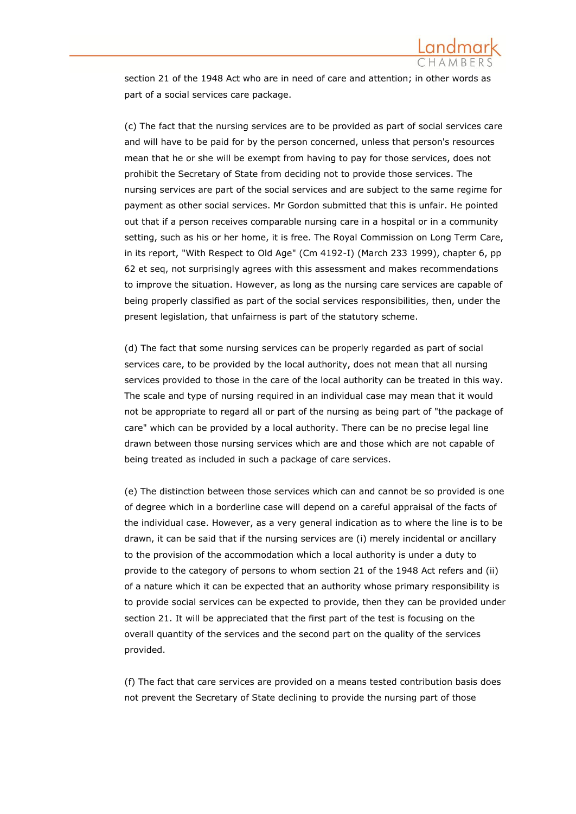

[section 21](http://login.westlaw.co.uk/maf/wluk/app/document?src=doc&linktype=ref&context=24&crumb-action=replace&docguid=I5344D891E44811DA8D70A0E70A78ED65) of the 1948 Act who are in need of care and attention; in other words as part of a social services care package.

(c) The fact that the nursing services are to be provided as part of social services care and will have to be paid for by the person concerned, unless that person's resources mean that he or she will be exempt from having to pay for those services, does not prohibit the Secretary of State from deciding not to provide those services. The nursing services are part of the social services and are subject to the same regime for payment as other social services. Mr Gordon submitted that this is unfair. He pointed out that if a person receives comparable nursing care in a hospital or in a community setting, such as his or her home, it is free. The Royal Commission on Long Term Care, in its report, "With Respect to Old Age" (Cm 4192-I) (March 233 1999), chapter 6, pp 62 et seq, not surprisingly agrees with this assessment and makes recommendations to improve the situation. However, as long as the nursing care services are capable of being properly classified as part of the social services responsibilities, then, under the present legislation, that unfairness is part of the statutory scheme.

(d) The fact that some nursing services can be properly regarded as part of social services care, to be provided by the local authority, does not mean that all nursing services provided to those in the care of the local authority can be treated in this way. The scale and type of nursing required in an individual case may mean that it would not be appropriate to regard all or part of the nursing as being part of "the package of care" which can be provided by a local authority. There can be no precise legal line drawn between those nursing services which are and those which are not capable of being treated as included in such a package of care services.

(e) The distinction between those services which can and cannot be so provided is one of degree which in a borderline case will depend on a careful appraisal of the facts of the individual case. However, as a very general indication as to where the line is to be drawn, it can be said that if the nursing services are (i) merely incidental or ancillary to the provision of the accommodation which a local authority is under a duty to provide to the category of persons to whom section 21 of the 1948 Act refers and (ii) of a nature which it can be expected that an authority whose primary responsibility is to provide social services can be expected to provide, then they can be provided under section 21. It will be appreciated that the first part of the test is focusing on the overall quantity of the services and the second part on the quality of the services provided.

(f) The fact that care services are provided on a means tested contribution basis does not prevent the Secretary of State declining to provide the nursing part of those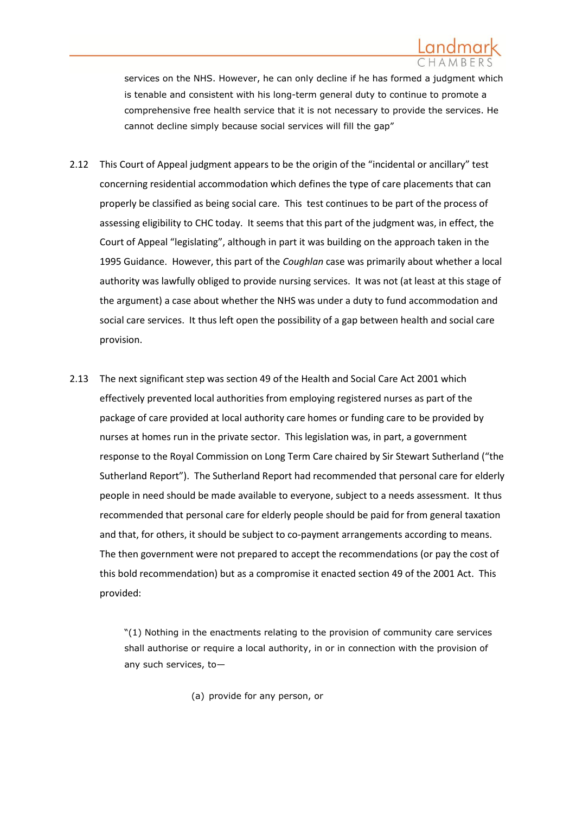

services on the NHS. However, he can only decline if he has formed a judgment which is tenable and consistent with his long-term general duty to continue to promote a comprehensive free health service that it is not necessary to provide the services. He cannot decline simply because social services will fill the gap"

- 2.12 This Court of Appeal judgment appears to be the origin of the "incidental or ancillary" test concerning residential accommodation which defines the type of care placements that can properly be classified as being social care. This test continues to be part of the process of assessing eligibility to CHC today. It seems that this part of the judgment was, in effect, the Court of Appeal "legislating", although in part it was building on the approach taken in the 1995 Guidance. However, this part of the *Coughlan* case was primarily about whether a local authority was lawfully obliged to provide nursing services. It was not (at least at this stage of the argument) a case about whether the NHS was under a duty to fund accommodation and social care services. It thus left open the possibility of a gap between health and social care provision.
- 2.13 The next significant step was section 49 of the Health and Social Care Act 2001 which effectively prevented local authorities from employing registered nurses as part of the package of care provided at local authority care homes or funding care to be provided by nurses at homes run in the private sector. This legislation was, in part, a government response to the Royal Commission on Long Term Care chaired by Sir Stewart Sutherland ("the Sutherland Report"). The Sutherland Report had recommended that personal care for elderly people in need should be made available to everyone, subject to a needs assessment. It thus recommended that personal care for elderly people should be paid for from general taxation and that, for others, it should be subject to co-payment arrangements according to means. The then government were not prepared to accept the recommendations (or pay the cost of this bold recommendation) but as a compromise it enacted section 49 of the 2001 Act. This provided:

"(1) Nothing in the enactments relating to the provision of community care services shall authorise or require a local authority, in or in connection with the provision of any such services, to—

(a) provide for any person, or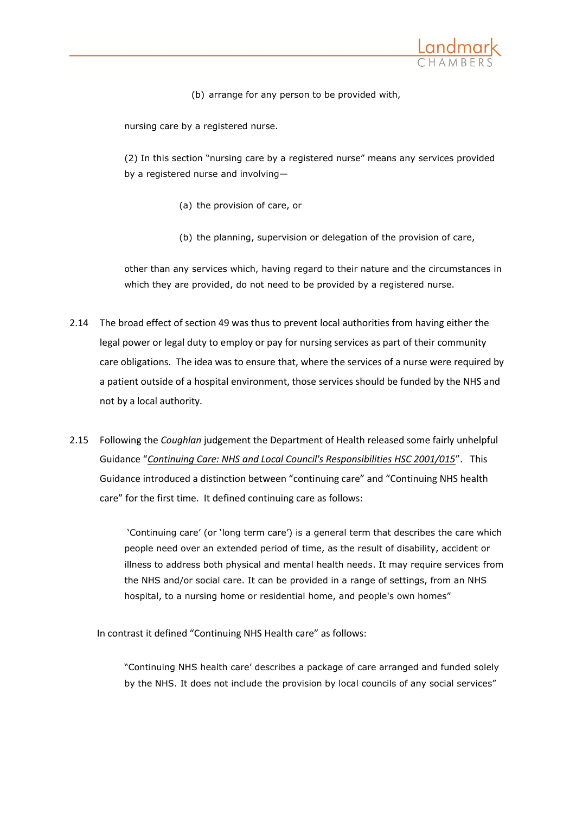

(b) arrange for any person to be provided with,

nursing care by a registered nurse.

(2) In this section "nursing care by a registered nurse" means any services provided by a registered nurse and involving—

- (a) the provision of care, or
- (b) the planning, supervision or delegation of the provision of care,

other than any services which, having regard to their nature and the circumstances in which they are provided, do not need to be provided by a registered nurse.

- 2.14 The broad effect of section 49 was thus to prevent local authorities from having either the legal power or legal duty to employ or pay for nursing services as part of their community care obligations. The idea was to ensure that, where the services of a nurse were required by a patient outside of a hospital environment, those services should be funded by the NHS and not by a local authority.
- 2.15 Following the *Coughlan* judgement the Department of Health released some fairly unhelpful Guidance "*[Continuing Care: NHS and Local Council's Responsibilities HSC 2001/015](http://webarchive.nationalarchives.gov.uk/20130107105354/http:/www.dh.gov.uk/prod_consum_dh/groups/dh_digitalassets/@dh/@en/documents/digitalasset/dh_4012280.pdf)*". This Guidance introduced a distinction between "continuing care" and "Continuing NHS health care" for the first time. It defined continuing care as follows:

'Continuing care' (or 'long term care') is a general term that describes the care which people need over an extended period of time, as the result of disability, accident or illness to address both physical and mental health needs. It may require services from the NHS and/or social care. It can be provided in a range of settings, from an NHS hospital, to a nursing home or residential home, and people's own homes"

In contrast it defined "Continuing NHS Health care" as follows:

"Continuing NHS health care' describes a package of care arranged and funded solely by the NHS. It does not include the provision by local councils of any social services"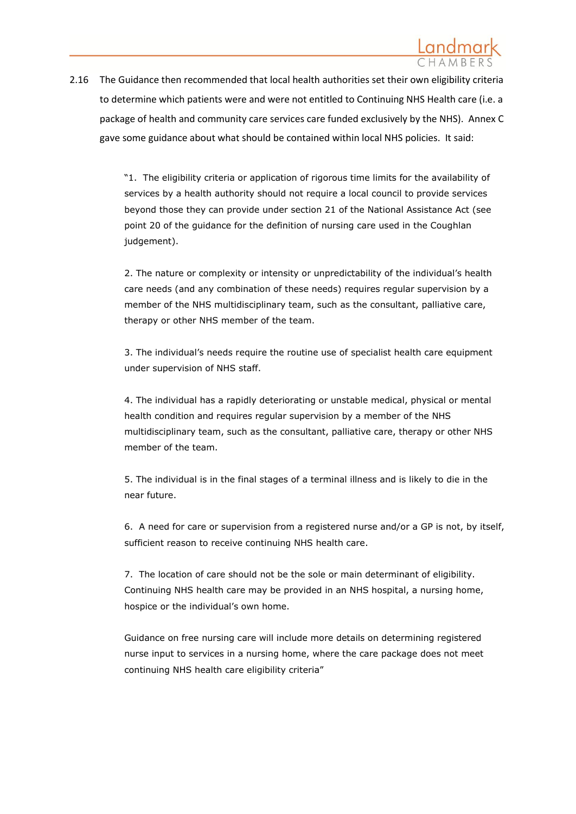

2.16 The Guidance then recommended that local health authorities set their own eligibility criteria to determine which patients were and were not entitled to Continuing NHS Health care (i.e. a package of health and community care services care funded exclusively by the NHS). Annex C gave some guidance about what should be contained within local NHS policies. It said:

> "1. The eligibility criteria or application of rigorous time limits for the availability of services by a health authority should not require a local council to provide services beyond those they can provide under section 21 of the National Assistance Act (see point 20 of the guidance for the definition of nursing care used in the Coughlan judgement).

> 2. The nature or complexity or intensity or unpredictability of the individual's health care needs (and any combination of these needs) requires regular supervision by a member of the NHS multidisciplinary team, such as the consultant, palliative care, therapy or other NHS member of the team.

> 3. The individual's needs require the routine use of specialist health care equipment under supervision of NHS staff.

> 4. The individual has a rapidly deteriorating or unstable medical, physical or mental health condition and requires regular supervision by a member of the NHS multidisciplinary team, such as the consultant, palliative care, therapy or other NHS member of the team.

5. The individual is in the final stages of a terminal illness and is likely to die in the near future.

6. A need for care or supervision from a registered nurse and/or a GP is not, by itself, sufficient reason to receive continuing NHS health care.

7. The location of care should not be the sole or main determinant of eligibility. Continuing NHS health care may be provided in an NHS hospital, a nursing home, hospice or the individual's own home.

Guidance on free nursing care will include more details on determining registered nurse input to services in a nursing home, where the care package does not meet continuing NHS health care eligibility criteria"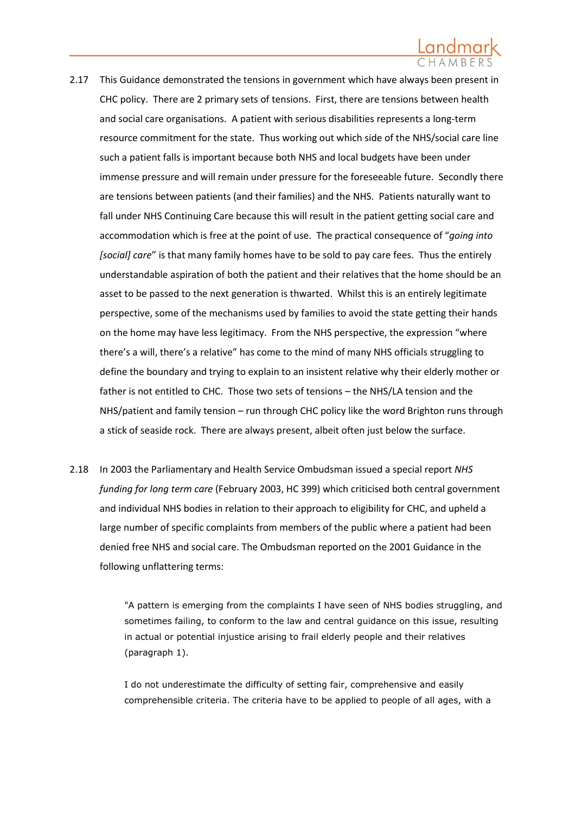- 2.17 This Guidance demonstrated the tensions in government which have always been present in CHC policy. There are 2 primary sets of tensions. First, there are tensions between health and social care organisations. A patient with serious disabilities represents a long-term resource commitment for the state. Thus working out which side of the NHS/social care line such a patient falls is important because both NHS and local budgets have been under immense pressure and will remain under pressure for the foreseeable future. Secondly there are tensions between patients (and their families) and the NHS. Patients naturally want to fall under NHS Continuing Care because this will result in the patient getting social care and accommodation which is free at the point of use. The practical consequence of "*going into [social] care*" is that many family homes have to be sold to pay care fees. Thus the entirely understandable aspiration of both the patient and their relatives that the home should be an asset to be passed to the next generation is thwarted. Whilst this is an entirely legitimate perspective, some of the mechanisms used by families to avoid the state getting their hands on the home may have less legitimacy. From the NHS perspective, the expression "where there's a will, there's a relative" has come to the mind of many NHS officials struggling to define the boundary and trying to explain to an insistent relative why their elderly mother or father is not entitled to CHC. Those two sets of tensions – the NHS/LA tension and the NHS/patient and family tension – run through CHC policy like the word Brighton runs through a stick of seaside rock. There are always present, albeit often just below the surface.
- 2.18 In 2003 the Parliamentary and Health Service Ombudsman issued a special report *NHS funding for long term care* (February 2003, HC 399) which criticised both central government and individual NHS bodies in relation to their approach to eligibility for CHC, and upheld a large number of specific complaints from members of the public where a patient had been denied free NHS and social care. The Ombudsman reported on the 2001 Guidance in the following unflattering terms:

"A pattern is emerging from the complaints I have seen of NHS bodies struggling, and sometimes failing, to conform to the law and central guidance on this issue, resulting in actual or potential injustice arising to frail elderly people and their relatives (paragraph 1).

I do not underestimate the difficulty of setting fair, comprehensive and easily comprehensible criteria. The criteria have to be applied to people of all ages, with a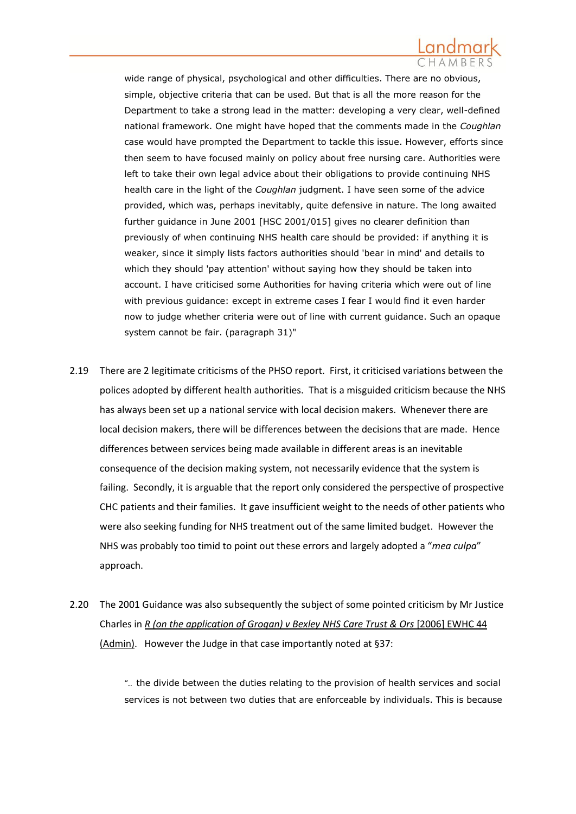

wide range of physical, psychological and other difficulties. There are no obvious, simple, objective criteria that can be used. But that is all the more reason for the Department to take a strong lead in the matter: developing a very clear, well-defined national framework. One might have hoped that the comments made in the *Coughlan* case would have prompted the Department to tackle this issue. However, efforts since then seem to have focused mainly on policy about free nursing care. Authorities were left to take their own legal advice about their obligations to provide continuing NHS health care in the light of the *Coughlan* judgment. I have seen some of the advice provided, which was, perhaps inevitably, quite defensive in nature. The long awaited further guidance in June 2001 [HSC 2001/015] gives no clearer definition than previously of when continuing NHS health care should be provided: if anything it is weaker, since it simply lists factors authorities should 'bear in mind' and details to which they should 'pay attention' without saying how they should be taken into account. I have criticised some Authorities for having criteria which were out of line with previous guidance: except in extreme cases I fear I would find it even harder now to judge whether criteria were out of line with current guidance. Such an opaque system cannot be fair. (paragraph 31)"

- 2.19 There are 2 legitimate criticisms of the PHSO report. First, it criticised variations between the polices adopted by different health authorities. That is a misguided criticism because the NHS has always been set up a national service with local decision makers. Whenever there are local decision makers, there will be differences between the decisions that are made. Hence differences between services being made available in different areas is an inevitable consequence of the decision making system, not necessarily evidence that the system is failing. Secondly, it is arguable that the report only considered the perspective of prospective CHC patients and their families. It gave insufficient weight to the needs of other patients who were also seeking funding for NHS treatment out of the same limited budget. However the NHS was probably too timid to point out these errors and largely adopted a "*mea culpa*" approach.
- 2.20 The 2001 Guidance was also subsequently the subject of some pointed criticism by Mr Justice Charles in *[R \(on the application of Grogan\) v Bexley NHS Care Trust & Ors](http://www.bailii.org/ew/cases/EWHC/Admin/2006/44.html)* [2006] EWHC 44 [\(Admin\).](http://www.bailii.org/ew/cases/EWHC/Admin/2006/44.html) However the Judge in that case importantly noted at §37:

".. the divide between the duties relating to the provision of health services and social services is not between two duties that are enforceable by individuals. This is because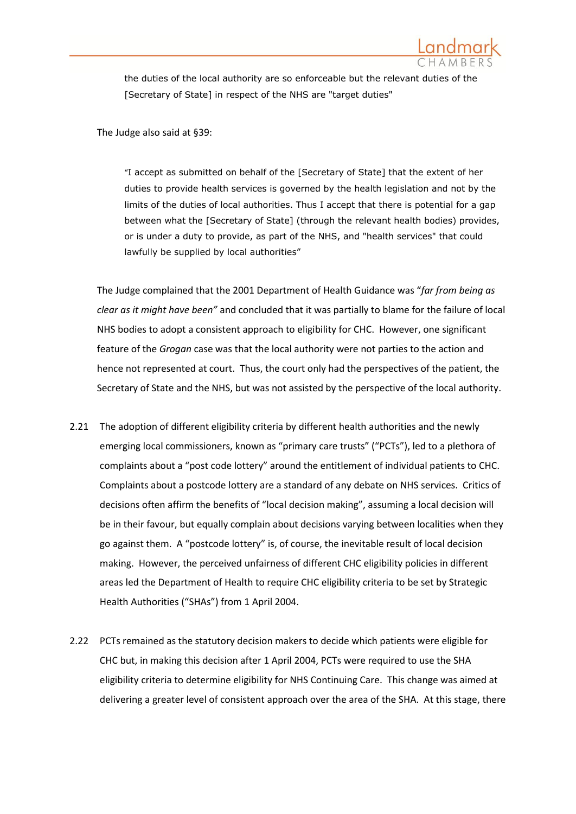

the duties of the local authority are so enforceable but the relevant duties of the [Secretary of State] in respect of the NHS are "target duties"

The Judge also said at §39:

"I accept as submitted on behalf of the [Secretary of State] that the extent of her duties to provide health services is governed by the health legislation and not by the limits of the duties of local authorities. Thus I accept that there is potential for a gap between what the [Secretary of State] (through the relevant health bodies) provides, or is under a duty to provide, as part of the NHS, and "health services" that could lawfully be supplied by local authorities"

The Judge complained that the 2001 Department of Health Guidance was "*far from being as clear as it might have been"* and concluded that it was partially to blame for the failure of local NHS bodies to adopt a consistent approach to eligibility for CHC. However, one significant feature of the *Grogan* case was that the local authority were not parties to the action and hence not represented at court. Thus, the court only had the perspectives of the patient, the Secretary of State and the NHS, but was not assisted by the perspective of the local authority.

- 2.21 The adoption of different eligibility criteria by different health authorities and the newly emerging local commissioners, known as "primary care trusts" ("PCTs"), led to a plethora of complaints about a "post code lottery" around the entitlement of individual patients to CHC. Complaints about a postcode lottery are a standard of any debate on NHS services. Critics of decisions often affirm the benefits of "local decision making", assuming a local decision will be in their favour, but equally complain about decisions varying between localities when they go against them. A "postcode lottery" is, of course, the inevitable result of local decision making. However, the perceived unfairness of different CHC eligibility policies in different areas led the Department of Health to require CHC eligibility criteria to be set by Strategic Health Authorities ("SHAs") from 1 April 2004.
- 2.22 PCTs remained as the statutory decision makers to decide which patients were eligible for CHC but, in making this decision after 1 April 2004, PCTs were required to use the SHA eligibility criteria to determine eligibility for NHS Continuing Care. This change was aimed at delivering a greater level of consistent approach over the area of the SHA. At this stage, there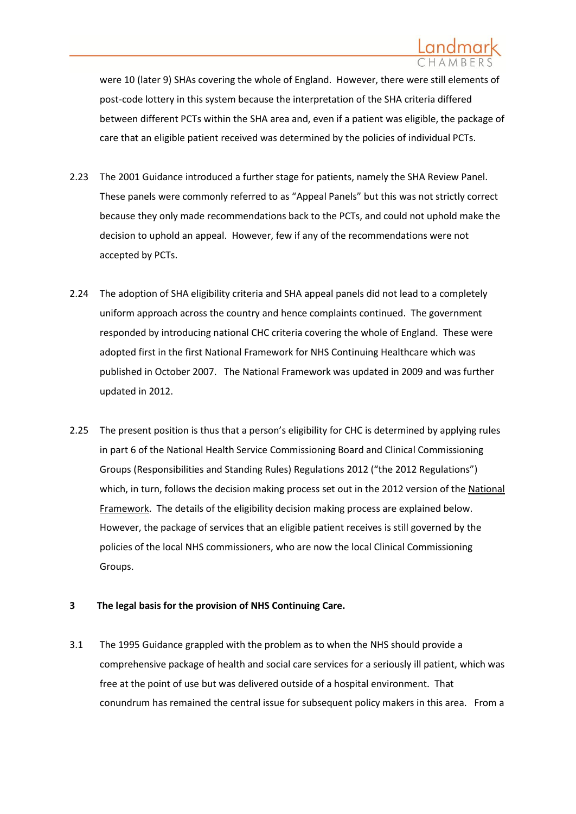

were 10 (later 9) SHAs covering the whole of England. However, there were still elements of post-code lottery in this system because the interpretation of the SHA criteria differed between different PCTs within the SHA area and, even if a patient was eligible, the package of care that an eligible patient received was determined by the policies of individual PCTs.

- 2.23 The 2001 Guidance introduced a further stage for patients, namely the SHA Review Panel. These panels were commonly referred to as "Appeal Panels" but this was not strictly correct because they only made recommendations back to the PCTs, and could not uphold make the decision to uphold an appeal. However, few if any of the recommendations were not accepted by PCTs.
- 2.24 The adoption of SHA eligibility criteria and SHA appeal panels did not lead to a completely uniform approach across the country and hence complaints continued. The government responded by introducing national CHC criteria covering the whole of England. These were adopted first in the first National Framework for NHS Continuing Healthcare which was published in October 2007. The National Framework was updated in 2009 and was further updated in 2012.
- 2.25 The present position is thus that a person's eligibility for CHC is determined by applying rules in part 6 of the National Health Service Commissioning Board and Clinical Commissioning Groups (Responsibilities and Standing Rules) Regulations 2012 ("the 2012 Regulations") which, in turn, follows the decision making process set out in the 2012 version of the [National](https://www.gov.uk/government/uploads/system/uploads/attachment_data/file/213137/National-Framework-for-NHS-CHC-NHS-FNC-Nov-2012.pdf)  [Framework.](https://www.gov.uk/government/uploads/system/uploads/attachment_data/file/213137/National-Framework-for-NHS-CHC-NHS-FNC-Nov-2012.pdf) The details of the eligibility decision making process are explained below. However, the package of services that an eligible patient receives is still governed by the policies of the local NHS commissioners, who are now the local Clinical Commissioning Groups.

### **3 The legal basis for the provision of NHS Continuing Care.**

3.1 The 1995 Guidance grappled with the problem as to when the NHS should provide a comprehensive package of health and social care services for a seriously ill patient, which was free at the point of use but was delivered outside of a hospital environment. That conundrum has remained the central issue for subsequent policy makers in this area. From a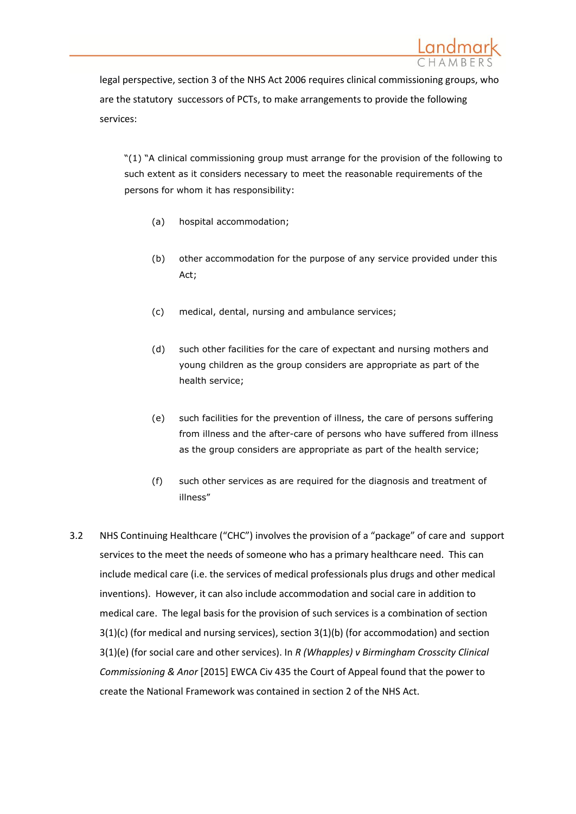

legal perspective, section 3 of the NHS Act 2006 requires clinical commissioning groups, who are the statutory successors of PCTs, to make arrangements to provide the following services:

"(1) "A clinical commissioning group must arrange for the provision of the following to such extent as it considers necessary to meet the reasonable requirements of the persons for whom it has responsibility:

- (a) hospital accommodation;
- (b) other accommodation for the purpose of any service provided under this Act;
- (c) medical, dental, nursing and ambulance services;
- (d) such other facilities for the care of expectant and nursing mothers and young children as the group considers are appropriate as part of the health service;
- (e) such facilities for the prevention of illness, the care of persons suffering from illness and the after-care of persons who have suffered from illness as the group considers are appropriate as part of the health service;
- (f) such other services as are required for the diagnosis and treatment of illness"
- <span id="page-15-0"></span>3.2 NHS Continuing Healthcare ("CHC") involves the provision of a "package" of care and support services to the meet the needs of someone who has a primary healthcare need. This can include medical care (i.e. the services of medical professionals plus drugs and other medical inventions). However, it can also include accommodation and social care in addition to medical care. The legal basis for the provision of such services is a combination of section 3(1)(c) (for medical and nursing services), section 3(1)(b) (for accommodation) and section 3(1)(e) (for social care and other services). In *R (Whapples) v Birmingham Crosscity Clinical Commissioning & Anor* [2015] EWCA Civ 435 the Court of Appeal found that the power to create the National Framework was contained in section 2 of the NHS Act.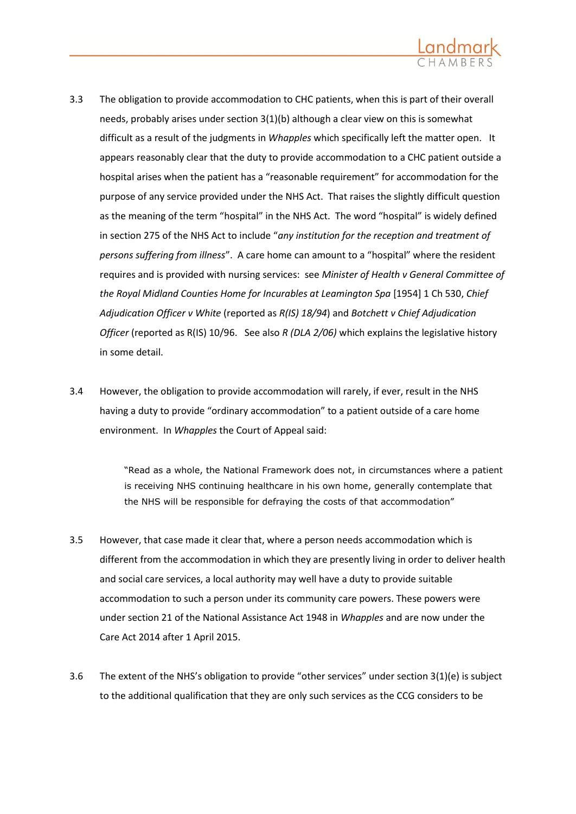

- 3.3 The obligation to provide accommodation to CHC patients, when this is part of their overall needs, probably arises under section 3(1)(b) although a clear view on this is somewhat difficult as a result of the judgments in *Whapples* which specifically left the matter open. It appears reasonably clear that the duty to provide accommodation to a CHC patient outside a hospital arises when the patient has a "reasonable requirement" for accommodation for the purpose of any service provided under the NHS Act. That raises the slightly difficult question as the meaning of the term "hospital" in the NHS Act. The word "hospital" is widely defined in section 275 of the NHS Act to include "*any institution for the reception and treatment of persons suffering from illness*". A care home can amount to a "hospital" where the resident requires and is provided with nursing services: see *Minister of Health v General Committee of the Royal Midland Counties Home for Incurables at Leamington Spa* [1954] 1 Ch 530, *Chief Adjudication Officer v White* (reported as *R(IS) 18/94*) and *Botchett v Chief Adjudication Officer* (reported as R(IS) 10/96. See also *R (DLA 2/06)* which explains the legislative history in some detail.
- 3.4 However, the obligation to provide accommodation will rarely, if ever, result in the NHS having a duty to provide "ordinary accommodation" to a patient outside of a care home environment. In *Whapples* the Court of Appeal said:

"Read as a whole, the National Framework does not, in circumstances where a patient is receiving NHS continuing healthcare in his own home, generally contemplate that the NHS will be responsible for defraying the costs of that accommodation"

- 3.5 However, that case made it clear that, where a person needs accommodation which is different from the accommodation in which they are presently living in order to deliver health and social care services, a local authority may well have a duty to provide suitable accommodation to such a person under its community care powers. These powers were under section 21 of the National Assistance Act 1948 in *Whapples* and are now under the Care Act 2014 after 1 April 2015.
- 3.6 The extent of the NHS's obligation to provide "other services" under section 3(1)(e) is subject to the additional qualification that they are only such services as the CCG considers to be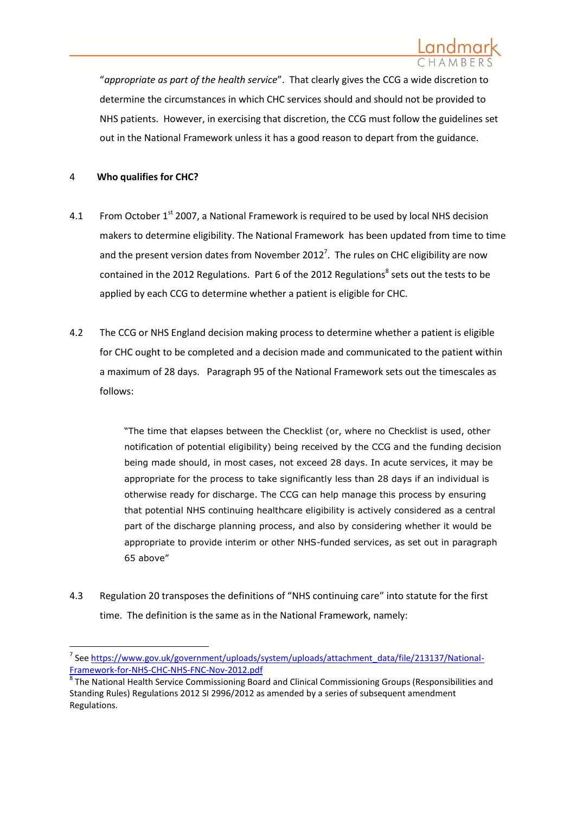

"*appropriate as part of the health service*". That clearly gives the CCG a wide discretion to determine the circumstances in which CHC services should and should not be provided to NHS patients. However, in exercising that discretion, the CCG must follow the guidelines set out in the National Framework unless it has a good reason to depart from the guidance.

# 4 **Who qualifies for CHC?**

- 4.1 From October  $1^{st}$  2007, a National Framework is required to be used by local NHS decision makers to determine eligibility. The National Framework has been updated from time to time and the present version dates from November 2012<sup>7</sup>. The rules on CHC eligibility are now contained in the 2012 Regulations. Part 6 of the 2012 Regulations<sup>8</sup> sets out the tests to be applied by each CCG to determine whether a patient is eligible for CHC.
- 4.2 The CCG or NHS England decision making process to determine whether a patient is eligible for CHC ought to be completed and a decision made and communicated to the patient within a maximum of 28 days. Paragraph 95 of the National Framework sets out the timescales as follows:

"The time that elapses between the Checklist (or, where no Checklist is used, other notification of potential eligibility) being received by the CCG and the funding decision being made should, in most cases, not exceed 28 days. In acute services, it may be appropriate for the process to take significantly less than 28 days if an individual is otherwise ready for discharge. The CCG can help manage this process by ensuring that potential NHS continuing healthcare eligibility is actively considered as a central part of the discharge planning process, and also by considering whether it would be appropriate to provide interim or other NHS-funded services, as set out in paragraph 65 above"

4.3 Regulation 20 transposes the definitions of "NHS continuing care" into statute for the first time. The definition is the same as in the National Framework, namely:

<sup>7</sup> See [https://www.gov.uk/government/uploads/system/uploads/attachment\\_data/file/213137/National-](https://www.gov.uk/government/uploads/system/uploads/attachment_data/file/213137/National-Framework-for-NHS-CHC-NHS-FNC-Nov-2012.pdf)[Framework-for-NHS-CHC-NHS-FNC-Nov-2012.pdf](https://www.gov.uk/government/uploads/system/uploads/attachment_data/file/213137/National-Framework-for-NHS-CHC-NHS-FNC-Nov-2012.pdf)

<sup>&</sup>lt;sup>8</sup> The National Health Service Commissioning Board and Clinical Commissioning Groups (Responsibilities and Standing Rules) Regulations 2012 SI 2996/2012 as amended by a series of subsequent amendment Regulations.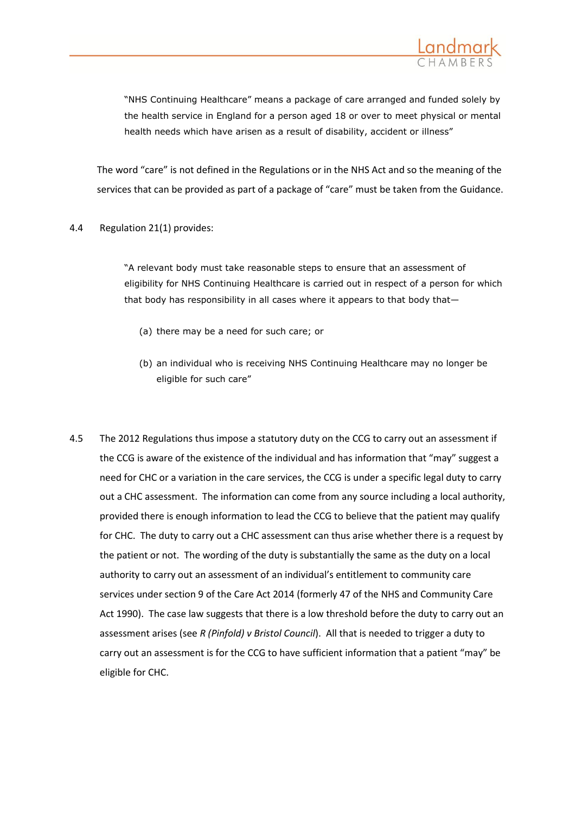

"NHS Continuing Healthcare" means a package of care arranged and funded solely by the health service in England for a person aged 18 or over to meet physical or mental health needs which have arisen as a result of disability, accident or illness"

The word "care" is not defined in the Regulations or in the NHS Act and so the meaning of the services that can be provided as part of a package of "care" must be taken from the Guidance.

### 4.4 Regulation 21(1) provides:

"A relevant body must take reasonable steps to ensure that an assessment of eligibility for NHS Continuing Healthcare is carried out in respect of a person for which that body has responsibility in all cases where it appears to that body that—

- (a) there may be a need for such care; or
- (b) an individual who is receiving NHS Continuing Healthcare may no longer be eligible for such care"
- 4.5 The 2012 Regulations thus impose a statutory duty on the CCG to carry out an assessment if the CCG is aware of the existence of the individual and has information that "may" suggest a need for CHC or a variation in the care services, the CCG is under a specific legal duty to carry out a CHC assessment. The information can come from any source including a local authority, provided there is enough information to lead the CCG to believe that the patient may qualify for CHC. The duty to carry out a CHC assessment can thus arise whether there is a request by the patient or not. The wording of the duty is substantially the same as the duty on a local authority to carry out an assessment of an individual's entitlement to community care services under section 9 of the Care Act 2014 (formerly 47 of the NHS and Community Care Act 1990). The case law suggests that there is a low threshold before the duty to carry out an assessment arises (see *R (Pinfold) v Bristol Council*). All that is needed to trigger a duty to carry out an assessment is for the CCG to have sufficient information that a patient "may" be eligible for CHC.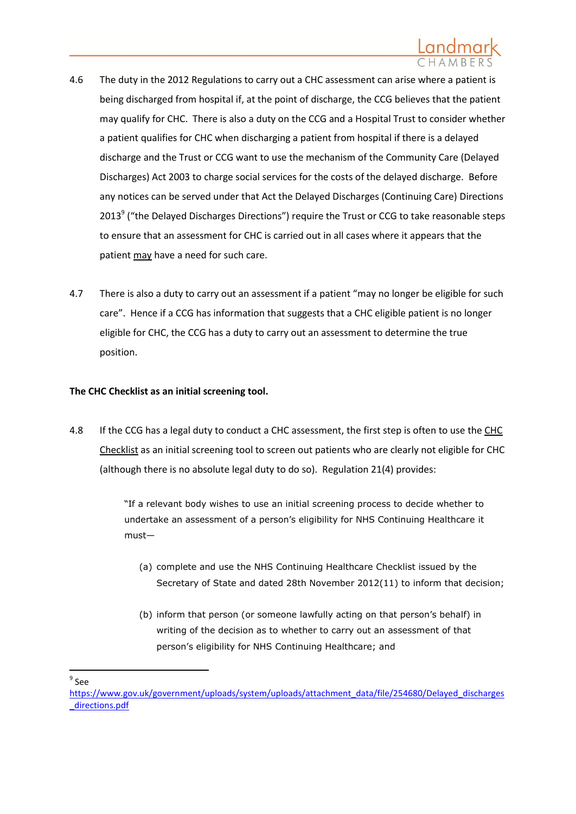

- 4.6 The duty in the 2012 Regulations to carry out a CHC assessment can arise where a patient is being discharged from hospital if, at the point of discharge, the CCG believes that the patient may qualify for CHC. There is also a duty on the CCG and a Hospital Trust to consider whether a patient qualifies for CHC when discharging a patient from hospital if there is a delayed discharge and the Trust or CCG want to use the mechanism of the Community Care (Delayed Discharges) Act 2003 to charge social services for the costs of the delayed discharge. Before any notices can be served under that Act the Delayed Discharges (Continuing Care) Directions 2013<sup>9</sup> ("the Delayed Discharges Directions") require the Trust or CCG to take reasonable steps to ensure that an assessment for CHC is carried out in all cases where it appears that the patient may have a need for such care.
- 4.7 There is also a duty to carry out an assessment if a patient "may no longer be eligible for such care". Hence if a CCG has information that suggests that a CHC eligible patient is no longer eligible for CHC, the CCG has a duty to carry out an assessment to determine the true position.

# **The CHC Checklist as an initial screening tool.**

4.8 If the CCG has a legal duty to conduct a CHC assessment, the first step is often to use the [CHC](https://www.gov.uk/government/uploads/system/uploads/attachment_data/file/213138/NHS-CHC-Checklist-FINAL.pdf)  [Checklist](https://www.gov.uk/government/uploads/system/uploads/attachment_data/file/213138/NHS-CHC-Checklist-FINAL.pdf) as an initial screening tool to screen out patients who are clearly not eligible for CHC (although there is no absolute legal duty to do so). Regulation 21(4) provides:

> "If a relevant body wishes to use an initial screening process to decide whether to undertake an assessment of a person's eligibility for NHS Continuing Healthcare it must—

- (a) complete and use the NHS Continuing Healthcare Checklist issued by the Secretary of State and dated 28th November 2012(11) to inform that decision;
- (b) inform that person (or someone lawfully acting on that person's behalf) in writing of the decision as to whether to carry out an assessment of that person's eligibility for NHS Continuing Healthcare; and
- <sup>9</sup><br><sup>9</sup> See

[https://www.gov.uk/government/uploads/system/uploads/attachment\\_data/file/254680/Delayed\\_discharges](https://www.gov.uk/government/uploads/system/uploads/attachment_data/file/254680/Delayed_discharges_directions.pdf) [\\_directions.pdf](https://www.gov.uk/government/uploads/system/uploads/attachment_data/file/254680/Delayed_discharges_directions.pdf)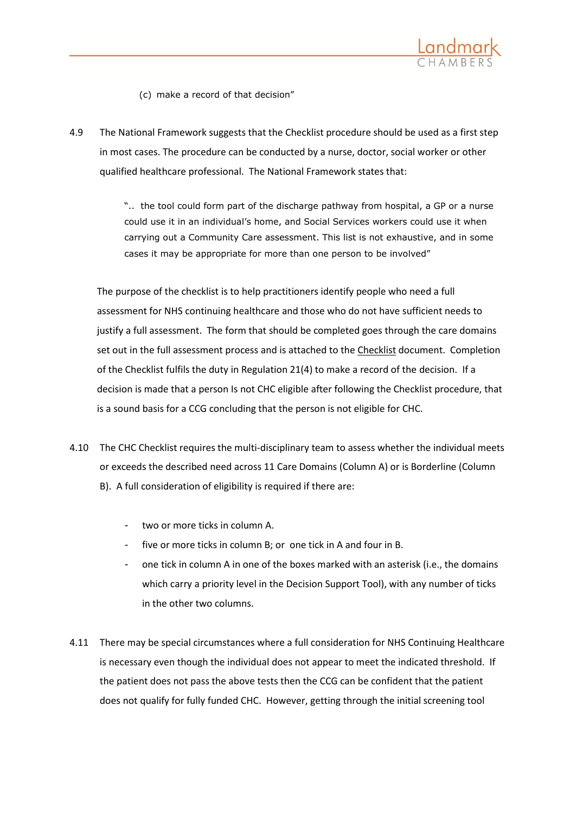

- (c) make a record of that decision"
- 4.9 The National Framework suggests that the Checklist procedure should be used as a first step in most cases. The procedure can be conducted by a nurse, doctor, social worker or other qualified healthcare professional. The National Framework states that:

".. the tool could form part of the discharge pathway from hospital, a GP or a nurse could use it in an individual's home, and Social Services workers could use it when carrying out a Community Care assessment. This list is not exhaustive, and in some cases it may be appropriate for more than one person to be involved"

The purpose of the checklist is to help practitioners identify people who need a full assessment for NHS continuing healthcare and those who do not have sufficient needs to justify a full assessment. The form that should be completed goes through the care domains set out in the full assessment process and is attached to the [Checklist](https://www.gov.uk/government/uploads/system/uploads/attachment_data/file/213138/NHS-CHC-Checklist-FINAL.pdf) document. Completion of the Checklist fulfils the duty in Regulation 21(4) to make a record of the decision. If a decision is made that a person Is not CHC eligible after following the Checklist procedure, that is a sound basis for a CCG concluding that the person is not eligible for CHC.

- 4.10 The CHC Checklist requires the multi-disciplinary team to assess whether the individual meets or exceeds the described need across 11 Care Domains (Column A) or is Borderline (Column B). A full consideration of eligibility is required if there are:
	- two or more ticks in column A.
	- five or more ticks in column B; or one tick in A and four in B.
	- one tick in column A in one of the boxes marked with an asterisk (i.e., the domains which carry a priority level in the Decision Support Tool), with any number of ticks in the other two columns.
- 4.11 There may be special circumstances where a full consideration for NHS Continuing Healthcare is necessary even though the individual does not appear to meet the indicated threshold. If the patient does not pass the above tests then the CCG can be confident that the patient does not qualify for fully funded CHC. However, getting through the initial screening tool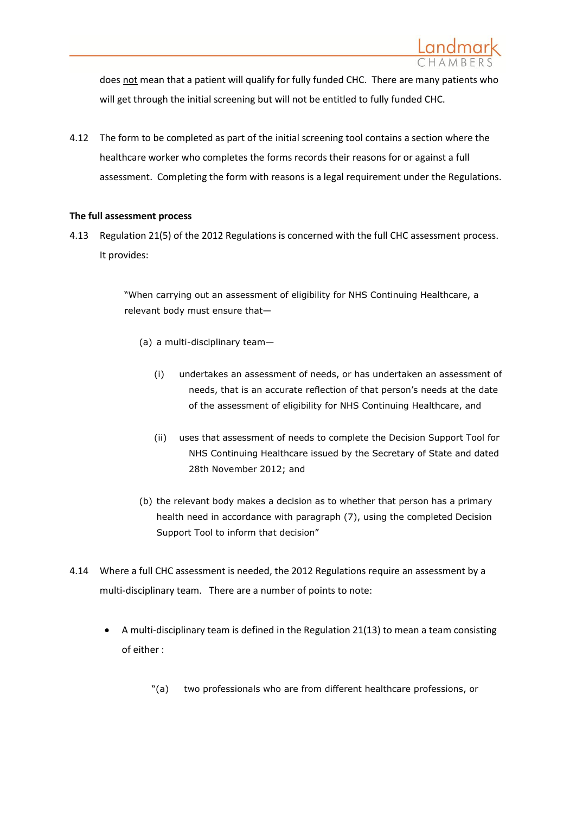

does not mean that a patient will qualify for fully funded CHC. There are many patients who will get through the initial screening but will not be entitled to fully funded CHC.

4.12 The form to be completed as part of the initial screening tool contains a section where the healthcare worker who completes the forms records their reasons for or against a full assessment. Completing the form with reasons is a legal requirement under the Regulations.

### **The full assessment process**

4.13 Regulation 21(5) of the 2012 Regulations is concerned with the full CHC assessment process. It provides:

> "When carrying out an assessment of eligibility for NHS Continuing Healthcare, a relevant body must ensure that—

- (a) a multi-disciplinary team—
	- (i) undertakes an assessment of needs, or has undertaken an assessment of needs, that is an accurate reflection of that person's needs at the date of the assessment of eligibility for NHS Continuing Healthcare, and
	- (ii) uses that assessment of needs to complete the Decision Support Tool for NHS Continuing Healthcare issued by the Secretary of State and dated 28th November 2012; and
- (b) the relevant body makes a decision as to whether that person has a primary health need in accordance with paragraph (7), using the completed Decision Support Tool to inform that decision"
- 4.14 Where a full CHC assessment is needed, the 2012 Regulations require an assessment by a multi-disciplinary team. There are a number of points to note:
	- A multi-disciplinary team is defined in the Regulation 21(13) to mean a team consisting of either :
		- "(a) two professionals who are from different healthcare professions, or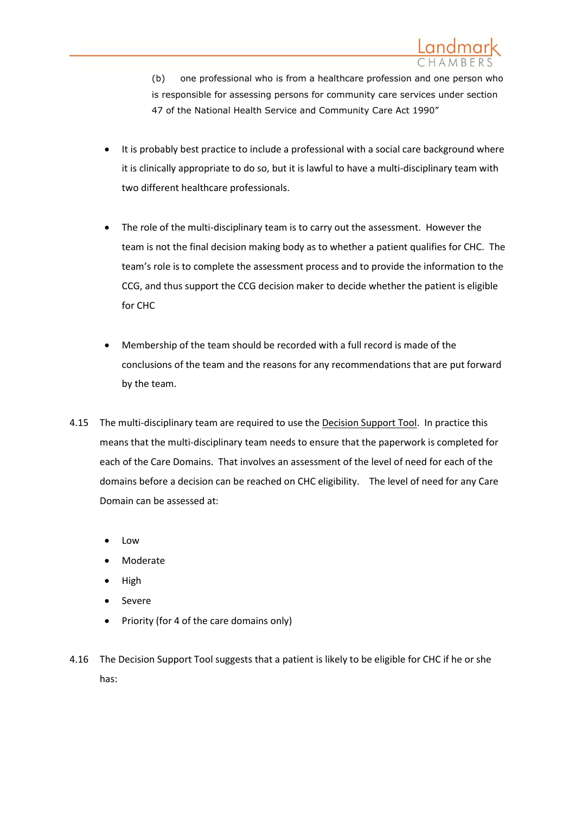(b) one professional who is from a healthcare profession and one person who is responsible for assessing persons for community care services under section 47 of the National Health Service and Community Care Act 1990"

- It is probably best practice to include a professional with a social care background where it is clinically appropriate to do so, but it is lawful to have a multi-disciplinary team with two different healthcare professionals.
- The role of the multi-disciplinary team is to carry out the assessment. However the team is not the final decision making body as to whether a patient qualifies for CHC. The team's role is to complete the assessment process and to provide the information to the CCG, and thus support the CCG decision maker to decide whether the patient is eligible for CHC
- Membership of the team should be recorded with a full record is made of the conclusions of the team and the reasons for any recommendations that are put forward by the team.
- 4.15 The multi-disciplinary team are required to use the [Decision Support Tool.](https://www.gov.uk/government/uploads/system/uploads/attachment_data/file/213139/Decision-Support-Tool-for-NHS-Continuing-Healthcare.pdf) In practice this means that the multi-disciplinary team needs to ensure that the paperwork is completed for each of the Care Domains. That involves an assessment of the level of need for each of the domains before a decision can be reached on CHC eligibility. The level of need for any Care Domain can be assessed at:
	- Low
	- Moderate
	- High
	- Severe
	- Priority (for 4 of the care domains only)
- 4.16 The Decision Support Tool suggests that a patient is likely to be eligible for CHC if he or she has: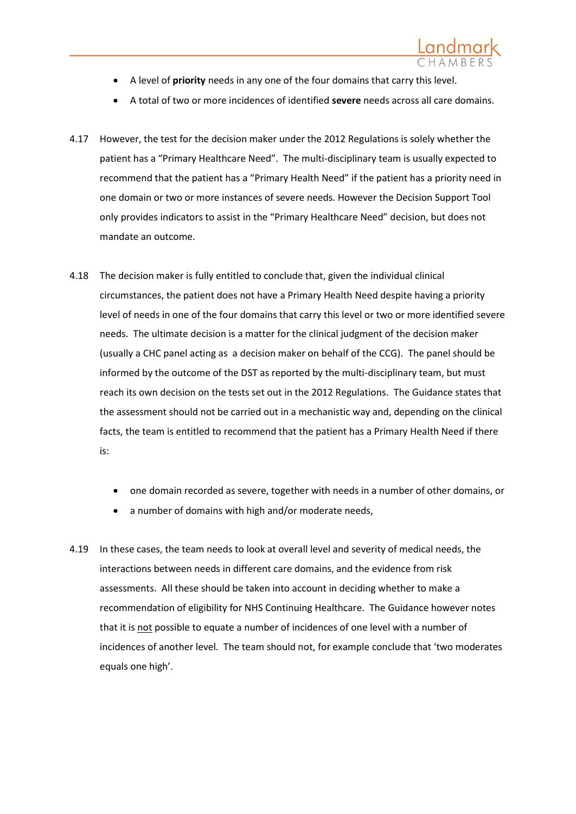

- A level of **priority** needs in any one of the four domains that carry this level.
- A total of two or more incidences of identified **severe** needs across all care domains.
- 4.17 However, the test for the decision maker under the 2012 Regulations is solely whether the patient has a "Primary Healthcare Need". The multi-disciplinary team is usually expected to recommend that the patient has a "Primary Health Need" if the patient has a priority need in one domain or two or more instances of severe needs. However the Decision Support Tool only provides indicators to assist in the "Primary Healthcare Need" decision, but does not mandate an outcome.
- 4.18 The decision maker is fully entitled to conclude that, given the individual clinical circumstances, the patient does not have a Primary Health Need despite having a priority level of needs in one of the four domains that carry this level or two or more identified severe needs. The ultimate decision is a matter for the clinical judgment of the decision maker (usually a CHC panel acting as a decision maker on behalf of the CCG). The panel should be informed by the outcome of the DST as reported by the multi-disciplinary team, but must reach its own decision on the tests set out in the 2012 Regulations. The Guidance states that the assessment should not be carried out in a mechanistic way and, depending on the clinical facts, the team is entitled to recommend that the patient has a Primary Health Need if there is:
	- one domain recorded as severe, together with needs in a number of other domains, or
	- a number of domains with high and/or moderate needs,
- 4.19 In these cases, the team needs to look at overall level and severity of medical needs, the interactions between needs in different care domains, and the evidence from risk assessments. All these should be taken into account in deciding whether to make a recommendation of eligibility for NHS Continuing Healthcare. The Guidance however notes that it is not possible to equate a number of incidences of one level with a number of incidences of another level. The team should not, for example conclude that 'two moderates equals one high'.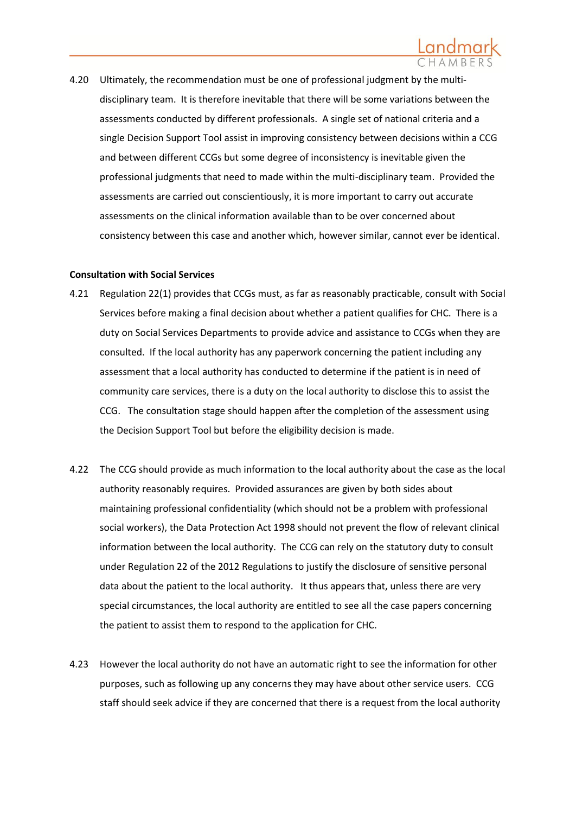

4.20 Ultimately, the recommendation must be one of professional judgment by the multidisciplinary team. It is therefore inevitable that there will be some variations between the assessments conducted by different professionals. A single set of national criteria and a single Decision Support Tool assist in improving consistency between decisions within a CCG and between different CCGs but some degree of inconsistency is inevitable given the professional judgments that need to made within the multi-disciplinary team. Provided the assessments are carried out conscientiously, it is more important to carry out accurate assessments on the clinical information available than to be over concerned about consistency between this case and another which, however similar, cannot ever be identical.

#### **Consultation with Social Services**

- 4.21 Regulation 22(1) provides that CCGs must, as far as reasonably practicable, consult with Social Services before making a final decision about whether a patient qualifies for CHC. There is a duty on Social Services Departments to provide advice and assistance to CCGs when they are consulted. If the local authority has any paperwork concerning the patient including any assessment that a local authority has conducted to determine if the patient is in need of community care services, there is a duty on the local authority to disclose this to assist the CCG. The consultation stage should happen after the completion of the assessment using the Decision Support Tool but before the eligibility decision is made.
- 4.22 The CCG should provide as much information to the local authority about the case as the local authority reasonably requires. Provided assurances are given by both sides about maintaining professional confidentiality (which should not be a problem with professional social workers), the Data Protection Act 1998 should not prevent the flow of relevant clinical information between the local authority. The CCG can rely on the statutory duty to consult under Regulation 22 of the 2012 Regulations to justify the disclosure of sensitive personal data about the patient to the local authority. It thus appears that, unless there are very special circumstances, the local authority are entitled to see all the case papers concerning the patient to assist them to respond to the application for CHC.
- 4.23 However the local authority do not have an automatic right to see the information for other purposes, such as following up any concerns they may have about other service users. CCG staff should seek advice if they are concerned that there is a request from the local authority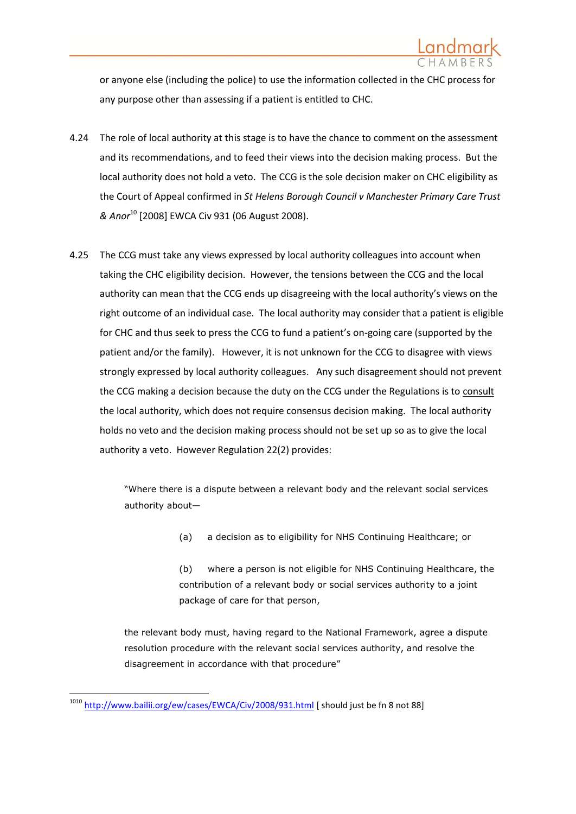

or anyone else (including the police) to use the information collected in the CHC process for any purpose other than assessing if a patient is entitled to CHC.

- 4.24 The role of local authority at this stage is to have the chance to comment on the assessment and its recommendations, and to feed their views into the decision making process. But the local authority does not hold a veto. The CCG is the sole decision maker on CHC eligibility as the Court of Appeal confirmed in *St Helens Borough Council v Manchester Primary Care Trust & Anor*<sup>10</sup> [2008] EWCA Civ 931 (06 August 2008).
- 4.25 The CCG must take any views expressed by local authority colleagues into account when taking the CHC eligibility decision. However, the tensions between the CCG and the local authority can mean that the CCG ends up disagreeing with the local authority's views on the right outcome of an individual case. The local authority may consider that a patient is eligible for CHC and thus seek to press the CCG to fund a patient's on-going care (supported by the patient and/or the family). However, it is not unknown for the CCG to disagree with views strongly expressed by local authority colleagues. Any such disagreement should not prevent the CCG making a decision because the duty on the CCG under the Regulations is to consult the local authority, which does not require consensus decision making. The local authority holds no veto and the decision making process should not be set up so as to give the local authority a veto. However Regulation 22(2) provides:

"Where there is a dispute between a relevant body and the relevant social services authority about—

(a) a decision as to eligibility for NHS Continuing Healthcare; or

(b) where a person is not eligible for NHS Continuing Healthcare, the contribution of a relevant body or social services authority to a joint package of care for that person,

the relevant body must, having regard to the National Framework, agree a dispute resolution procedure with the relevant social services authority, and resolve the disagreement in accordance with that procedure"

-

<sup>&</sup>lt;sup>1010</sup> <http://www.bailii.org/ew/cases/EWCA/Civ/2008/931.html> [ should just be fn 8 not 88]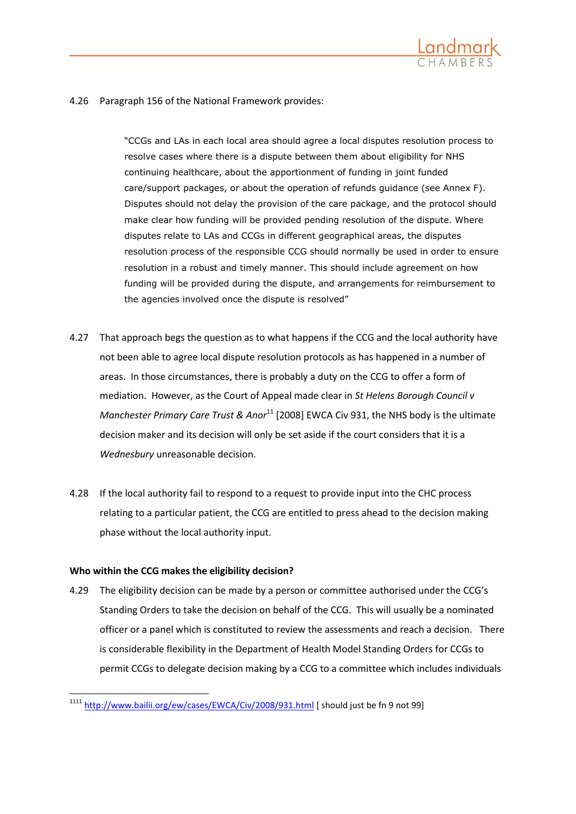

4.26 Paragraph 156 of the National Framework provides:

"CCGs and LAs in each local area should agree a local disputes resolution process to resolve cases where there is a dispute between them about eligibility for NHS continuing healthcare, about the apportionment of funding in joint funded care/support packages, or about the operation of refunds guidance (see Annex F). Disputes should not delay the provision of the care package, and the protocol should make clear how funding will be provided pending resolution of the dispute. Where disputes relate to LAs and CCGs in different geographical areas, the disputes resolution process of the responsible CCG should normally be used in order to ensure resolution in a robust and timely manner. This should include agreement on how funding will be provided during the dispute, and arrangements for reimbursement to the agencies involved once the dispute is resolved"

- 4.27 That approach begs the question as to what happens if the CCG and the local authority have not been able to agree local dispute resolution protocols as has happened in a number of areas. In those circumstances, there is probably a duty on the CCG to offer a form of mediation. However, as the Court of Appeal made clear in *St Helens Borough Council v Manchester Primary Care Trust & Anor<sup>11</sup>* [2008] EWCA Civ 931, the NHS body is the ultimate decision maker and its decision will only be set aside if the court considers that it is a *Wednesbury* unreasonable decision.
- 4.28 If the local authority fail to respond to a request to provide input into the CHC process relating to a particular patient, the CCG are entitled to press ahead to the decision making phase without the local authority input.

### **Who within the CCG makes the eligibility decision?**

-

4.29 The eligibility decision can be made by a person or committee authorised under the CCG's Standing Orders to take the decision on behalf of the CCG. This will usually be a nominated officer or a panel which is constituted to review the assessments and reach a decision. There is considerable flexibility in the Department of Health Model Standing Orders for CCGs to permit CCGs to delegate decision making by a CCG to a committee which includes individuals

<sup>&</sup>lt;sup>1111</sup> <http://www.bailii.org/ew/cases/EWCA/Civ/2008/931.html> [ should just be fn 9 not 99]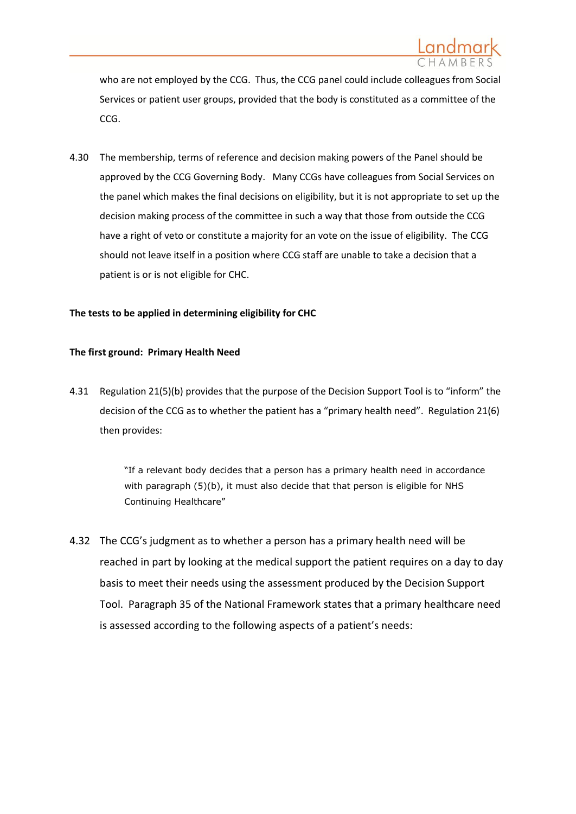

who are not employed by the CCG. Thus, the CCG panel could include colleagues from Social Services or patient user groups, provided that the body is constituted as a committee of the CCG.

4.30 The membership, terms of reference and decision making powers of the Panel should be approved by the CCG Governing Body. Many CCGs have colleagues from Social Services on the panel which makes the final decisions on eligibility, but it is not appropriate to set up the decision making process of the committee in such a way that those from outside the CCG have a right of veto or constitute a majority for an vote on the issue of eligibility. The CCG should not leave itself in a position where CCG staff are unable to take a decision that a patient is or is not eligible for CHC.

# **The tests to be applied in determining eligibility for CHC**

# **The first ground: Primary Health Need**

4.31 Regulation 21(5)(b) provides that the purpose of the Decision Support Tool is to "inform" the decision of the CCG as to whether the patient has a "primary health need". Regulation 21(6) then provides:

> "If a relevant body decides that a person has a primary health need in accordance with paragraph (5)(b), it must also decide that that person is eligible for NHS Continuing Healthcare"

4.32 The CCG's judgment as to whether a person has a primary health need will be reached in part by looking at the medical support the patient requires on a day to day basis to meet their needs using the assessment produced by the Decision Support Tool. Paragraph 35 of the National Framework states that a primary healthcare need is assessed according to the following aspects of a patient's needs: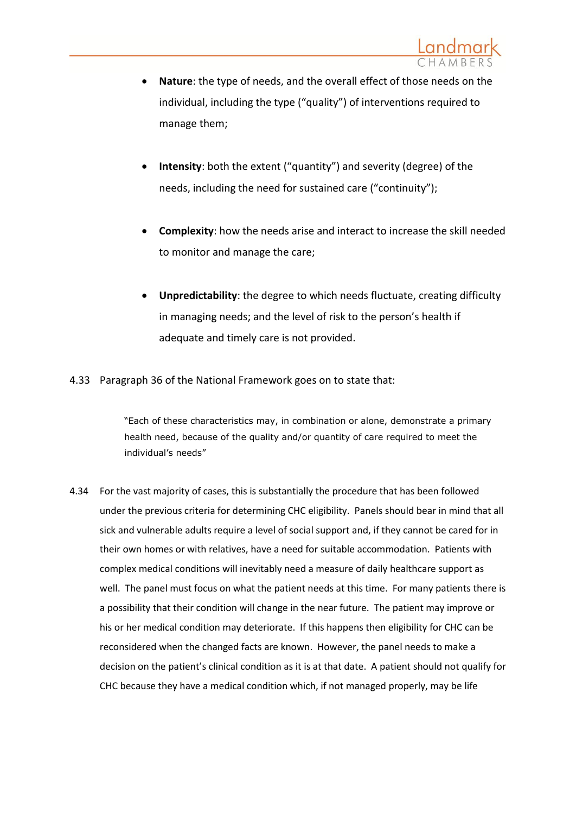- **Nature**: the type of needs, and the overall effect of those needs on the individual, including the type ("quality") of interventions required to manage them;
- **Intensity**: both the extent ("quantity") and severity (degree) of the needs, including the need for sustained care ("continuity");
- **Complexity**: how the needs arise and interact to increase the skill needed to monitor and manage the care;
- **Unpredictability**: the degree to which needs fluctuate, creating difficulty in managing needs; and the level of risk to the person's health if adequate and timely care is not provided.

# 4.33 Paragraph 36 of the National Framework goes on to state that:

"Each of these characteristics may, in combination or alone, demonstrate a primary health need, because of the quality and/or quantity of care required to meet the individual's needs"

4.34 For the vast majority of cases, this is substantially the procedure that has been followed under the previous criteria for determining CHC eligibility. Panels should bear in mind that all sick and vulnerable adults require a level of social support and, if they cannot be cared for in their own homes or with relatives, have a need for suitable accommodation. Patients with complex medical conditions will inevitably need a measure of daily healthcare support as well. The panel must focus on what the patient needs at this time. For many patients there is a possibility that their condition will change in the near future. The patient may improve or his or her medical condition may deteriorate. If this happens then eligibility for CHC can be reconsidered when the changed facts are known. However, the panel needs to make a decision on the patient's clinical condition as it is at that date. A patient should not qualify for CHC because they have a medical condition which, if not managed properly, may be life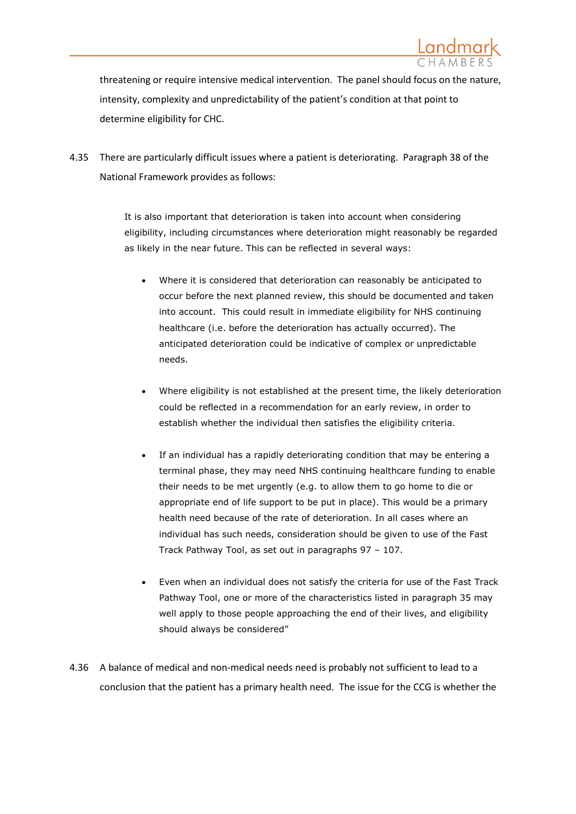

threatening or require intensive medical intervention. The panel should focus on the nature, intensity, complexity and unpredictability of the patient's condition at that point to determine eligibility for CHC.

4.35 There are particularly difficult issues where a patient is deteriorating. Paragraph 38 of the National Framework provides as follows:

> It is also important that deterioration is taken into account when considering eligibility, including circumstances where deterioration might reasonably be regarded as likely in the near future. This can be reflected in several ways:

- Where it is considered that deterioration can reasonably be anticipated to occur before the next planned review, this should be documented and taken into account. This could result in immediate eligibility for NHS continuing healthcare (i.e. before the deterioration has actually occurred). The anticipated deterioration could be indicative of complex or unpredictable needs.
- Where eligibility is not established at the present time, the likely deterioration could be reflected in a recommendation for an early review, in order to establish whether the individual then satisfies the eligibility criteria.
- If an individual has a rapidly deteriorating condition that may be entering a terminal phase, they may need NHS continuing healthcare funding to enable their needs to be met urgently (e.g. to allow them to go home to die or appropriate end of life support to be put in place). This would be a primary health need because of the rate of deterioration. In all cases where an individual has such needs, consideration should be given to use of the Fast Track Pathway Tool, as set out in paragraphs 97 – 107.
- Even when an individual does not satisfy the criteria for use of the Fast Track Pathway Tool, one or more of the characteristics listed in paragraph 35 may well apply to those people approaching the end of their lives, and eligibility should always be considered"
- 4.36 A balance of medical and non-medical needs need is probably not sufficient to lead to a conclusion that the patient has a primary health need. The issue for the CCG is whether the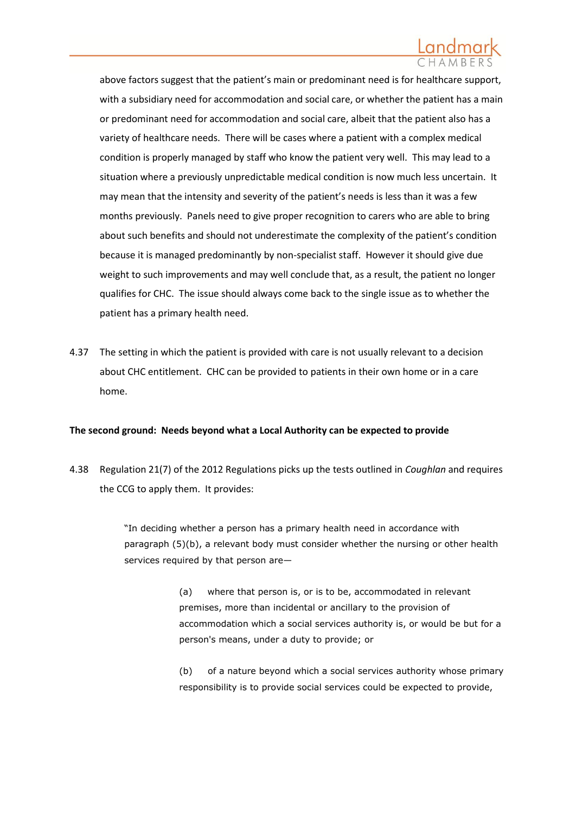above factors suggest that the patient's main or predominant need is for healthcare support, with a subsidiary need for accommodation and social care, or whether the patient has a main or predominant need for accommodation and social care, albeit that the patient also has a variety of healthcare needs. There will be cases where a patient with a complex medical condition is properly managed by staff who know the patient very well. This may lead to a situation where a previously unpredictable medical condition is now much less uncertain. It may mean that the intensity and severity of the patient's needs is less than it was a few months previously. Panels need to give proper recognition to carers who are able to bring about such benefits and should not underestimate the complexity of the patient's condition because it is managed predominantly by non-specialist staff. However it should give due weight to such improvements and may well conclude that, as a result, the patient no longer qualifies for CHC. The issue should always come back to the single issue as to whether the patient has a primary health need.

4.37 The setting in which the patient is provided with care is not usually relevant to a decision about CHC entitlement. CHC can be provided to patients in their own home or in a care home.

### **The second ground: Needs beyond what a Local Authority can be expected to provide**

4.38 Regulation 21(7) of the 2012 Regulations picks up the tests outlined in *Coughlan* and requires the CCG to apply them. It provides:

> "In deciding whether a person has a primary health need in accordance with paragraph (5)(b), a relevant body must consider whether the nursing or other health services required by that person are—

> > (a) where that person is, or is to be, accommodated in relevant premises, more than incidental or ancillary to the provision of accommodation which a social services authority is, or would be but for a person's means, under a duty to provide; or

> > (b) of a nature beyond which a social services authority whose primary responsibility is to provide social services could be expected to provide,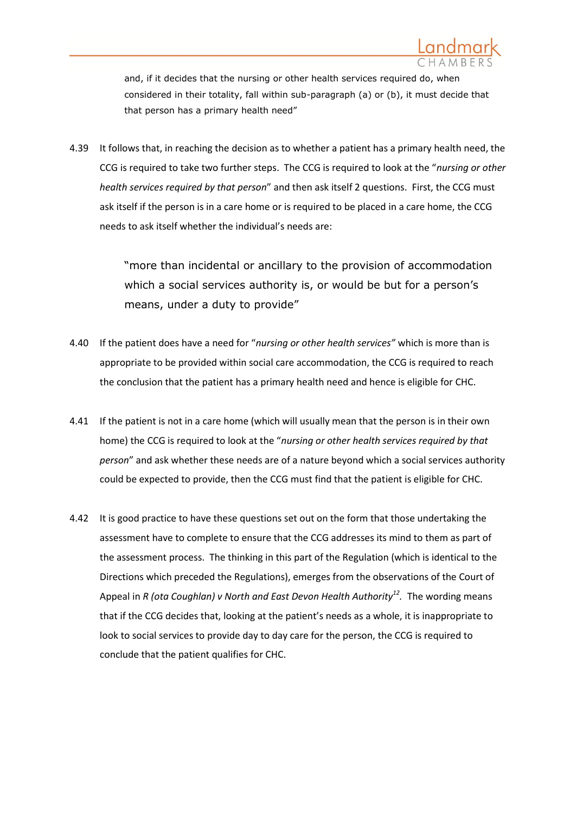

and, if it decides that the nursing or other health services required do, when considered in their totality, fall within sub-paragraph (a) or (b), it must decide that that person has a primary health need"

4.39 It follows that, in reaching the decision as to whether a patient has a primary health need, the CCG is required to take two further steps. The CCG is required to look at the "*nursing or other health services required by that person*" and then ask itself 2 questions. First, the CCG must ask itself if the person is in a care home or is required to be placed in a care home, the CCG needs to ask itself whether the individual's needs are:

> "more than incidental or ancillary to the provision of accommodation which a social services authority is, or would be but for a person's means, under a duty to provide"

- 4.40 If the patient does have a need for "*nursing or other health services"* which is more than is appropriate to be provided within social care accommodation, the CCG is required to reach the conclusion that the patient has a primary health need and hence is eligible for CHC.
- 4.41 If the patient is not in a care home (which will usually mean that the person is in their own home) the CCG is required to look at the "*nursing or other health services required by that person*" and ask whether these needs are of a nature beyond which a social services authority could be expected to provide, then the CCG must find that the patient is eligible for CHC.
- 4.42 It is good practice to have these questions set out on the form that those undertaking the assessment have to complete to ensure that the CCG addresses its mind to them as part of the assessment process. The thinking in this part of the Regulation (which is identical to the Directions which preceded the Regulations), emerges from the observations of the Court of Appeal in *R (ota Coughlan) v North and East Devon Health Authority<sup>12</sup> .* The wording means that if the CCG decides that, looking at the patient's needs as a whole, it is inappropriate to look to social services to provide day to day care for the person, the CCG is required to conclude that the patient qualifies for CHC.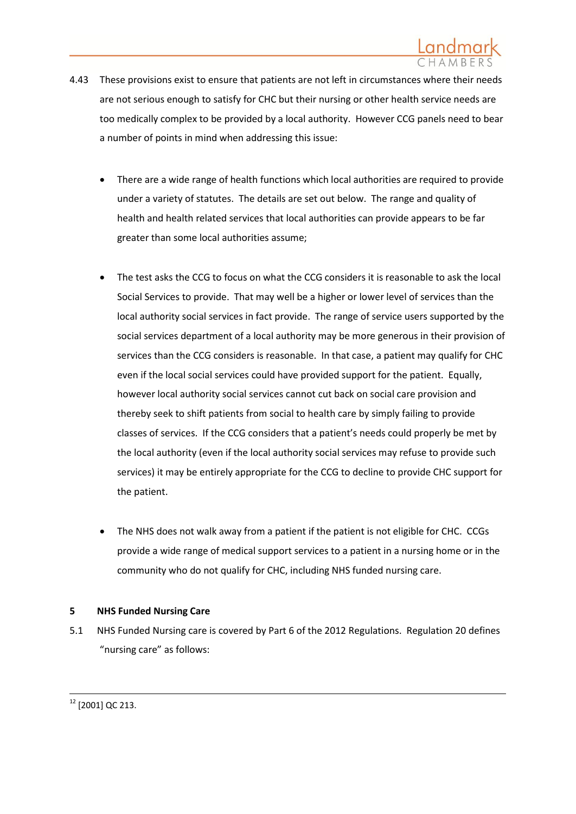- 4.43 These provisions exist to ensure that patients are not left in circumstances where their needs are not serious enough to satisfy for CHC but their nursing or other health service needs are too medically complex to be provided by a local authority. However CCG panels need to bear a number of points in mind when addressing this issue:
	- There are a wide range of health functions which local authorities are required to provide under a variety of statutes. The details are set out below. The range and quality of health and health related services that local authorities can provide appears to be far greater than some local authorities assume;
	- The test asks the CCG to focus on what the CCG considers it is reasonable to ask the local Social Services to provide. That may well be a higher or lower level of services than the local authority social services in fact provide. The range of service users supported by the social services department of a local authority may be more generous in their provision of services than the CCG considers is reasonable. In that case, a patient may qualify for CHC even if the local social services could have provided support for the patient. Equally, however local authority social services cannot cut back on social care provision and thereby seek to shift patients from social to health care by simply failing to provide classes of services. If the CCG considers that a patient's needs could properly be met by the local authority (even if the local authority social services may refuse to provide such services) it may be entirely appropriate for the CCG to decline to provide CHC support for the patient.
	- The NHS does not walk away from a patient if the patient is not eligible for CHC. CCGs provide a wide range of medical support services to a patient in a nursing home or in the community who do not qualify for CHC, including NHS funded nursing care.

# **5 NHS Funded Nursing Care**

5.1 NHS Funded Nursing care is covered by Part 6 of the 2012 Regulations. Regulation 20 defines "nursing care" as follows:

<sup>-</sup> $12$  [2001] QC 213.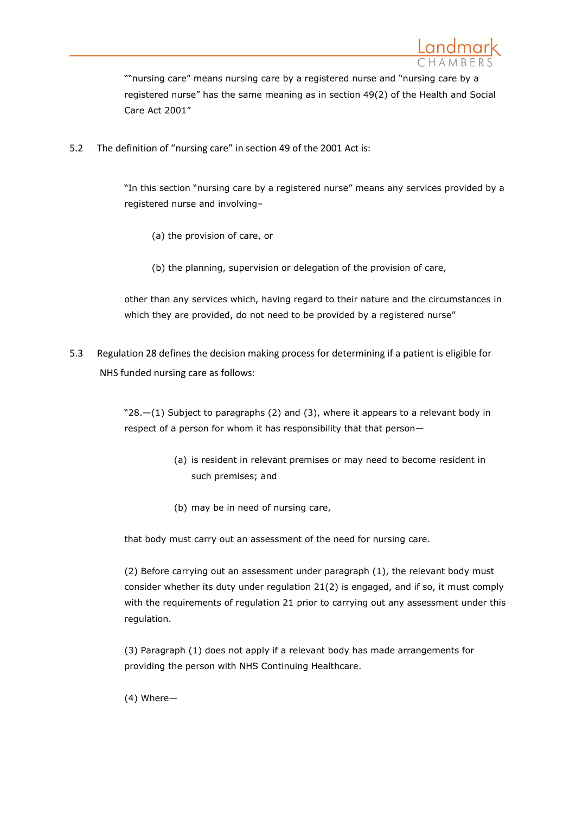

""nursing care" means nursing care by a registered nurse and "nursing care by a registered nurse" has the same meaning as in section 49(2) of the Health and Social Care Act 2001"

5.2 The definition of "nursing care" in section 49 of the 2001 Act is:

"In this section "nursing care by a registered nurse" means any services provided by a registered nurse and involving–

- (a) the provision of care, or
- (b) the planning, supervision or delegation of the provision of care,

other than any services which, having regard to their nature and the circumstances in which they are provided, do not need to be provided by a registered nurse"

5.3 Regulation 28 defines the decision making process for determining if a patient is eligible for NHS funded nursing care as follows:

> "28. $-(1)$  Subject to paragraphs (2) and (3), where it appears to a relevant body in respect of a person for whom it has responsibility that that person—

- (a) is resident in relevant premises or may need to become resident in such premises; and
- (b) may be in need of nursing care,

that body must carry out an assessment of the need for nursing care.

(2) Before carrying out an assessment under paragraph (1), the relevant body must consider whether its duty under regulation 21(2) is engaged, and if so, it must comply with the requirements of regulation 21 prior to carrying out any assessment under this regulation.

(3) Paragraph (1) does not apply if a relevant body has made arrangements for providing the person with NHS Continuing Healthcare.

(4) Where—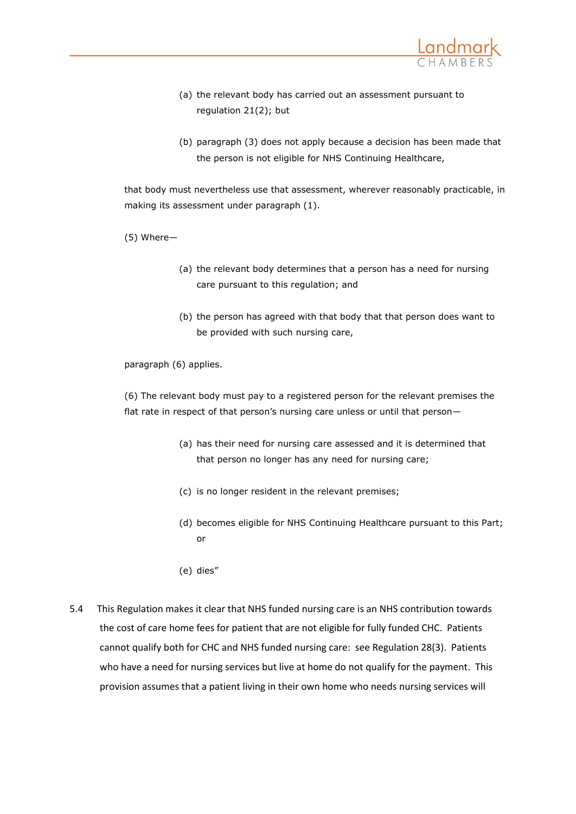

- (a) the relevant body has carried out an assessment pursuant to regulation 21(2); but
- (b) paragraph (3) does not apply because a decision has been made that the person is not eligible for NHS Continuing Healthcare,

that body must nevertheless use that assessment, wherever reasonably practicable, in making its assessment under paragraph (1).

(5) Where—

- (a) the relevant body determines that a person has a need for nursing care pursuant to this regulation; and
- (b) the person has agreed with that body that that person does want to be provided with such nursing care,

paragraph (6) applies.

(6) The relevant body must pay to a registered person for the relevant premises the flat rate in respect of that person's nursing care unless or until that person—

- (a) has their need for nursing care assessed and it is determined that that person no longer has any need for nursing care;
- (c) is no longer resident in the relevant premises;
- (d) becomes eligible for NHS Continuing Healthcare pursuant to this Part; or
- (e) dies"
- 5.4 This Regulation makes it clear that NHS funded nursing care is an NHS contribution towards the cost of care home fees for patient that are not eligible for fully funded CHC. Patients cannot qualify both for CHC and NHS funded nursing care: see Regulation 28(3). Patients who have a need for nursing services but live at home do not qualify for the payment. This provision assumes that a patient living in their own home who needs nursing services will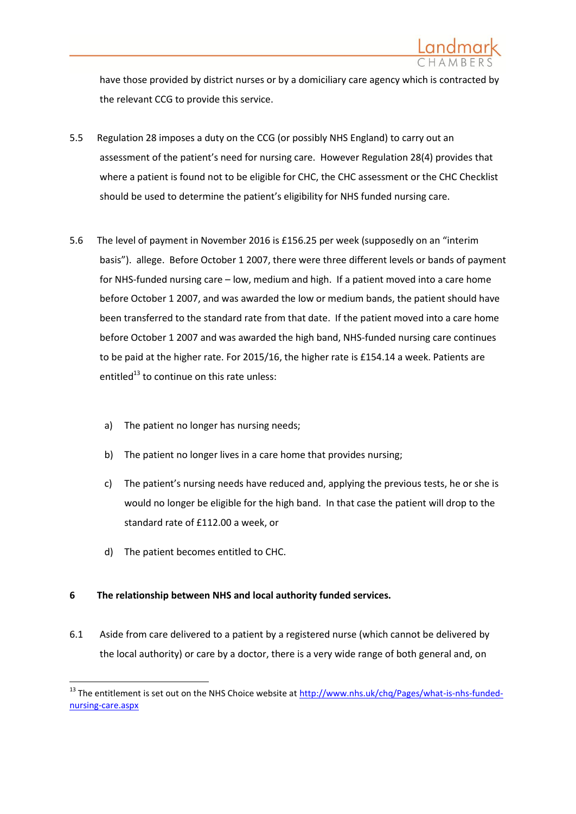

have those provided by district nurses or by a domiciliary care agency which is contracted by the relevant CCG to provide this service.

- 5.5 Regulation 28 imposes a duty on the CCG (or possibly NHS England) to carry out an assessment of the patient's need for nursing care. However Regulation 28(4) provides that where a patient is found not to be eligible for CHC, the CHC assessment or the CHC Checklist should be used to determine the patient's eligibility for NHS funded nursing care.
- 5.6 The level of payment in November 2016 is £156.25 per week (supposedly on an "interim basis"). allege. Before October 1 2007, there were three different levels or bands of payment for NHS-funded nursing care – low, medium and high. If a patient moved into a care home before October 1 2007, and was awarded the low or medium bands, the patient should have been transferred to the standard rate from that date. If the patient moved into a care home before October 1 2007 and was awarded the high band, NHS-funded nursing care continues to be paid at the higher rate. For 2015/16, the higher rate is £154.14 a week. Patients are entitled $^{13}$  to continue on this rate unless:
	- a) The patient no longer has nursing needs;
	- b) The patient no longer lives in a care home that provides nursing;
	- c) The patient's nursing needs have reduced and, applying the previous tests, he or she is would no longer be eligible for the high band. In that case the patient will drop to the standard rate of £112.00 a week, or
	- d) The patient becomes entitled to CHC.

-

# **6 The relationship between NHS and local authority funded services.**

6.1 Aside from care delivered to a patient by a registered nurse (which cannot be delivered by the local authority) or care by a doctor, there is a very wide range of both general and, on

<sup>&</sup>lt;sup>13</sup> The entitlement is set out on the NHS Choice website at [http://www.nhs.uk/chq/Pages/what-is-nhs-funded](http://www.nhs.uk/chq/Pages/what-is-nhs-funded-nursing-care.aspx)[nursing-care.aspx](http://www.nhs.uk/chq/Pages/what-is-nhs-funded-nursing-care.aspx)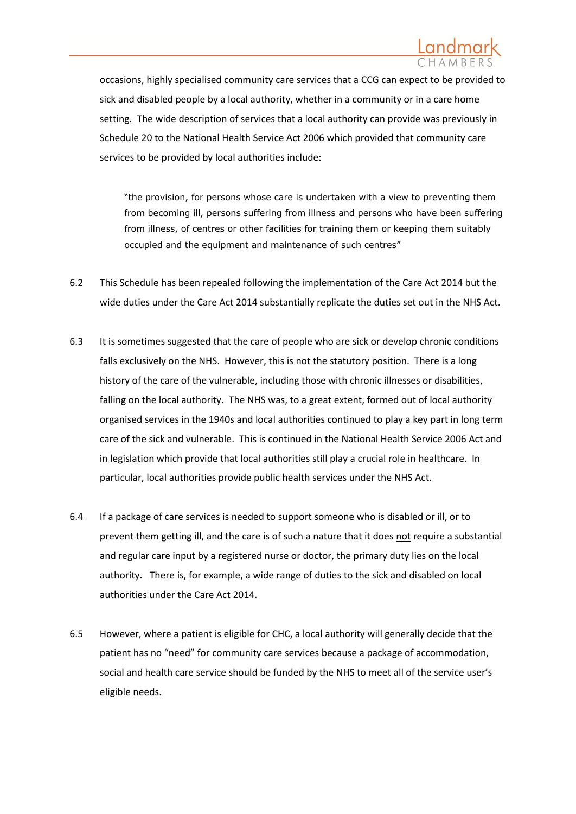

occasions, highly specialised community care services that a CCG can expect to be provided to sick and disabled people by a local authority, whether in a community or in a care home setting. The wide description of services that a local authority can provide was previously in Schedule 20 to the National Health Service Act 2006 which provided that community care services to be provided by local authorities include:

"the provision, for persons whose care is undertaken with a view to preventing them from becoming ill, persons suffering from illness and persons who have been suffering from illness, of centres or other facilities for training them or keeping them suitably occupied and the equipment and maintenance of such centres"

- 6.2 This Schedule has been repealed following the implementation of the Care Act 2014 but the wide duties under the Care Act 2014 substantially replicate the duties set out in the NHS Act.
- 6.3 It is sometimes suggested that the care of people who are sick or develop chronic conditions falls exclusively on the NHS. However, this is not the statutory position. There is a long history of the care of the vulnerable, including those with chronic illnesses or disabilities, falling on the local authority. The NHS was, to a great extent, formed out of local authority organised services in the 1940s and local authorities continued to play a key part in long term care of the sick and vulnerable. This is continued in the National Health Service 2006 Act and in legislation which provide that local authorities still play a crucial role in healthcare. In particular, local authorities provide public health services under the NHS Act.
- 6.4 If a package of care services is needed to support someone who is disabled or ill, or to prevent them getting ill, and the care is of such a nature that it does not require a substantial and regular care input by a registered nurse or doctor, the primary duty lies on the local authority. There is, for example, a wide range of duties to the sick and disabled on local authorities under the Care Act 2014.
- 6.5 However, where a patient is eligible for CHC, a local authority will generally decide that the patient has no "need" for community care services because a package of accommodation, social and health care service should be funded by the NHS to meet all of the service user's eligible needs.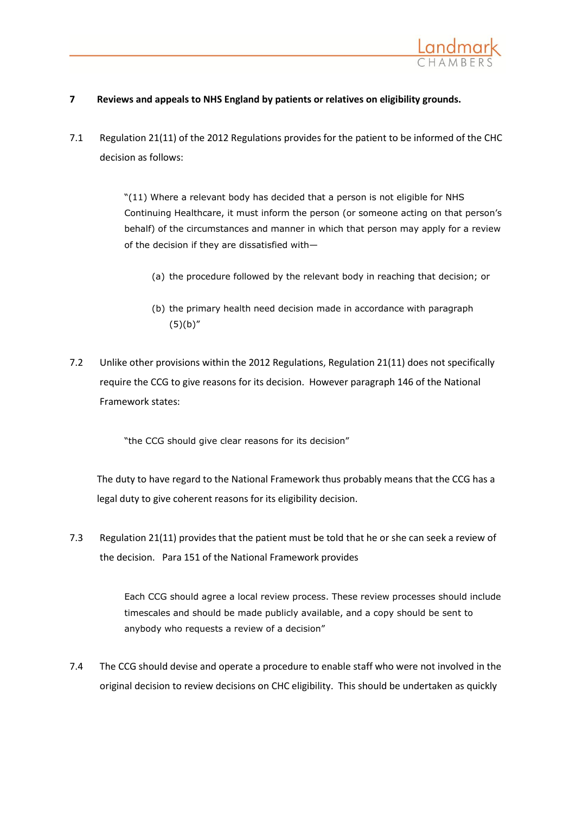

# **7 Reviews and appeals to NHS England by patients or relatives on eligibility grounds.**

7.1 Regulation 21(11) of the 2012 Regulations provides for the patient to be informed of the CHC decision as follows:

> "(11) Where a relevant body has decided that a person is not eligible for NHS Continuing Healthcare, it must inform the person (or someone acting on that person's behalf) of the circumstances and manner in which that person may apply for a review of the decision if they are dissatisfied with—

- (a) the procedure followed by the relevant body in reaching that decision; or
- (b) the primary health need decision made in accordance with paragraph  $(5)(b)''$
- 7.2 Unlike other provisions within the 2012 Regulations, Regulation 21(11) does not specifically require the CCG to give reasons for its decision. However paragraph 146 of the National Framework states:

"the CCG should give clear reasons for its decision"

The duty to have regard to the National Framework thus probably means that the CCG has a legal duty to give coherent reasons for its eligibility decision.

7.3 Regulation 21(11) provides that the patient must be told that he or she can seek a review of the decision. Para 151 of the National Framework provides

> Each CCG should agree a local review process. These review processes should include timescales and should be made publicly available, and a copy should be sent to anybody who requests a review of a decision"

7.4 The CCG should devise and operate a procedure to enable staff who were not involved in the original decision to review decisions on CHC eligibility. This should be undertaken as quickly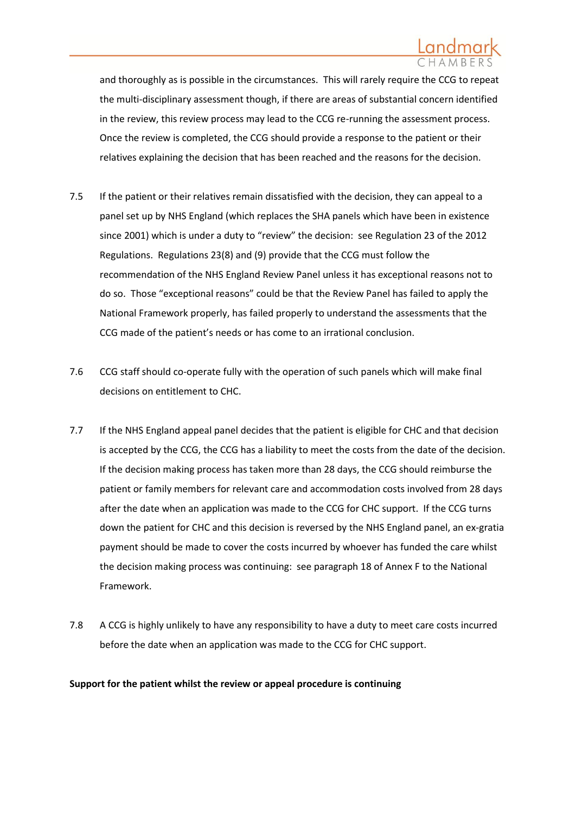and thoroughly as is possible in the circumstances. This will rarely require the CCG to repeat the multi-disciplinary assessment though, if there are areas of substantial concern identified in the review, this review process may lead to the CCG re-running the assessment process. Once the review is completed, the CCG should provide a response to the patient or their relatives explaining the decision that has been reached and the reasons for the decision.

- 7.5 If the patient or their relatives remain dissatisfied with the decision, they can appeal to a panel set up by NHS England (which replaces the SHA panels which have been in existence since 2001) which is under a duty to "review" the decision: see Regulation 23 of the 2012 Regulations. Regulations 23(8) and (9) provide that the CCG must follow the recommendation of the NHS England Review Panel unless it has exceptional reasons not to do so. Those "exceptional reasons" could be that the Review Panel has failed to apply the National Framework properly, has failed properly to understand the assessments that the CCG made of the patient's needs or has come to an irrational conclusion.
- 7.6 CCG staff should co-operate fully with the operation of such panels which will make final decisions on entitlement to CHC.
- 7.7 If the NHS England appeal panel decides that the patient is eligible for CHC and that decision is accepted by the CCG, the CCG has a liability to meet the costs from the date of the decision. If the decision making process has taken more than 28 days, the CCG should reimburse the patient or family members for relevant care and accommodation costs involved from 28 days after the date when an application was made to the CCG for CHC support. If the CCG turns down the patient for CHC and this decision is reversed by the NHS England panel, an ex-gratia payment should be made to cover the costs incurred by whoever has funded the care whilst the decision making process was continuing: see paragraph 18 of Annex F to the National Framework.
- 7.8 A CCG is highly unlikely to have any responsibility to have a duty to meet care costs incurred before the date when an application was made to the CCG for CHC support.

### **Support for the patient whilst the review or appeal procedure is continuing**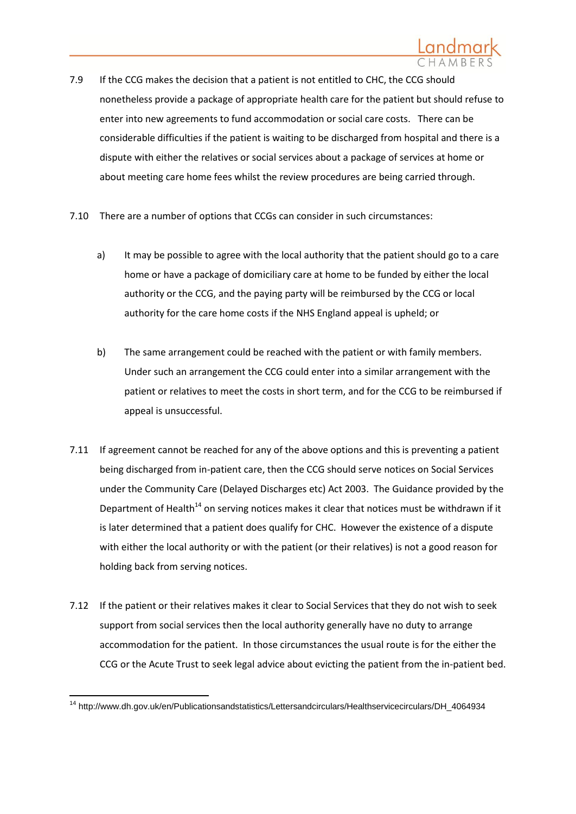

- 7.9 If the CCG makes the decision that a patient is not entitled to CHC, the CCG should nonetheless provide a package of appropriate health care for the patient but should refuse to enter into new agreements to fund accommodation or social care costs. There can be considerable difficulties if the patient is waiting to be discharged from hospital and there is a dispute with either the relatives or social services about a package of services at home or about meeting care home fees whilst the review procedures are being carried through.
- 7.10 There are a number of options that CCGs can consider in such circumstances:
	- a) It may be possible to agree with the local authority that the patient should go to a care home or have a package of domiciliary care at home to be funded by either the local authority or the CCG, and the paying party will be reimbursed by the CCG or local authority for the care home costs if the NHS England appeal is upheld; or
	- b) The same arrangement could be reached with the patient or with family members. Under such an arrangement the CCG could enter into a similar arrangement with the patient or relatives to meet the costs in short term, and for the CCG to be reimbursed if appeal is unsuccessful.
- 7.11 If agreement cannot be reached for any of the above options and this is preventing a patient being discharged from in-patient care, then the CCG should serve notices on Social Services under the Community Care (Delayed Discharges etc) Act 2003. The Guidance provided by the Department of Health<sup>14</sup> on serving notices makes it clear that notices must be withdrawn if it is later determined that a patient does qualify for CHC. However the existence of a dispute with either the local authority or with the patient (or their relatives) is not a good reason for holding back from serving notices.
- 7.12 If the patient or their relatives makes it clear to Social Services that they do not wish to seek support from social services then the local authority generally have no duty to arrange accommodation for the patient. In those circumstances the usual route is for the either the CCG or the Acute Trust to seek legal advice about evicting the patient from the in-patient bed.

 $\overline{\phantom{a}}$ 

<sup>14</sup> http://www.dh.gov.uk/en/Publicationsandstatistics/Lettersandcirculars/Healthservicecirculars/DH\_4064934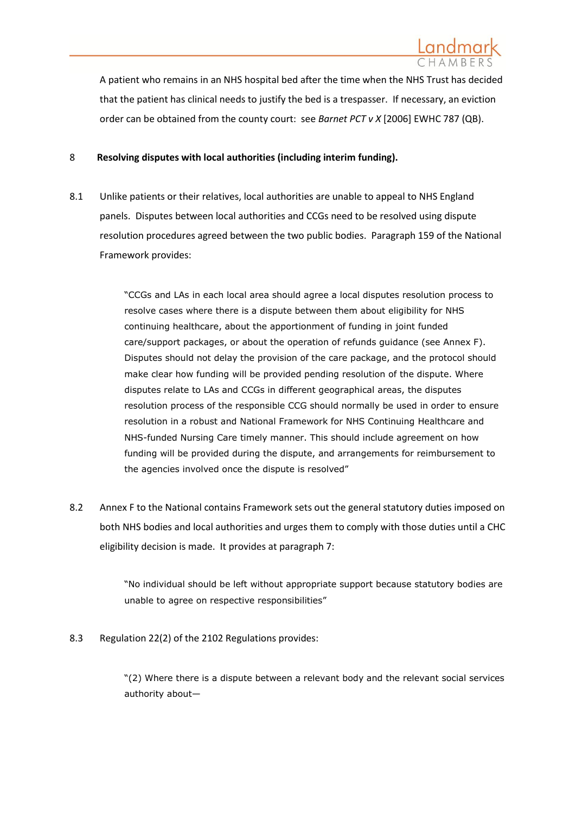

A patient who remains in an NHS hospital bed after the time when the NHS Trust has decided that the patient has clinical needs to justify the bed is a trespasser. If necessary, an eviction order can be obtained from the county court: see *Barnet PCT v X* [2006] EWHC 787 (QB).

# 8 **Resolving disputes with local authorities (including interim funding).**

8.1 Unlike patients or their relatives, local authorities are unable to appeal to NHS England panels. Disputes between local authorities and CCGs need to be resolved using dispute resolution procedures agreed between the two public bodies. Paragraph 159 of the National Framework provides:

> "CCGs and LAs in each local area should agree a local disputes resolution process to resolve cases where there is a dispute between them about eligibility for NHS continuing healthcare, about the apportionment of funding in joint funded care/support packages, or about the operation of refunds guidance (see Annex F). Disputes should not delay the provision of the care package, and the protocol should make clear how funding will be provided pending resolution of the dispute. Where disputes relate to LAs and CCGs in different geographical areas, the disputes resolution process of the responsible CCG should normally be used in order to ensure resolution in a robust and National Framework for NHS Continuing Healthcare and NHS-funded Nursing Care timely manner. This should include agreement on how funding will be provided during the dispute, and arrangements for reimbursement to the agencies involved once the dispute is resolved"

8.2 Annex F to the National contains Framework sets out the general statutory duties imposed on both NHS bodies and local authorities and urges them to comply with those duties until a CHC eligibility decision is made. It provides at paragraph 7:

> "No individual should be left without appropriate support because statutory bodies are unable to agree on respective responsibilities"

8.3 Regulation 22(2) of the 2102 Regulations provides:

"(2) Where there is a dispute between a relevant body and the relevant social services authority about—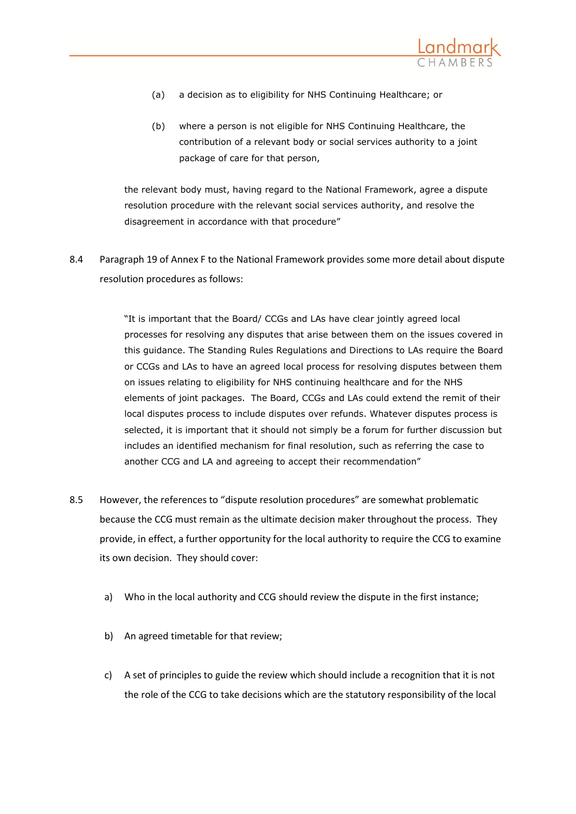

- (a) a decision as to eligibility for NHS Continuing Healthcare; or
- (b) where a person is not eligible for NHS Continuing Healthcare, the contribution of a relevant body or social services authority to a joint package of care for that person,

the relevant body must, having regard to the National Framework, agree a dispute resolution procedure with the relevant social services authority, and resolve the disagreement in accordance with that procedure"

8.4 Paragraph 19 of Annex F to the National Framework provides some more detail about dispute resolution procedures as follows:

> "It is important that the Board/ CCGs and LAs have clear jointly agreed local processes for resolving any disputes that arise between them on the issues covered in this guidance. The Standing Rules Regulations and Directions to LAs require the Board or CCGs and LAs to have an agreed local process for resolving disputes between them on issues relating to eligibility for NHS continuing healthcare and for the NHS elements of joint packages. The Board, CCGs and LAs could extend the remit of their local disputes process to include disputes over refunds. Whatever disputes process is selected, it is important that it should not simply be a forum for further discussion but includes an identified mechanism for final resolution, such as referring the case to another CCG and LA and agreeing to accept their recommendation"

- 8.5 However, the references to "dispute resolution procedures" are somewhat problematic because the CCG must remain as the ultimate decision maker throughout the process. They provide, in effect, a further opportunity for the local authority to require the CCG to examine its own decision. They should cover:
	- a) Who in the local authority and CCG should review the dispute in the first instance;
	- b) An agreed timetable for that review;
	- c) A set of principles to guide the review which should include a recognition that it is not the role of the CCG to take decisions which are the statutory responsibility of the local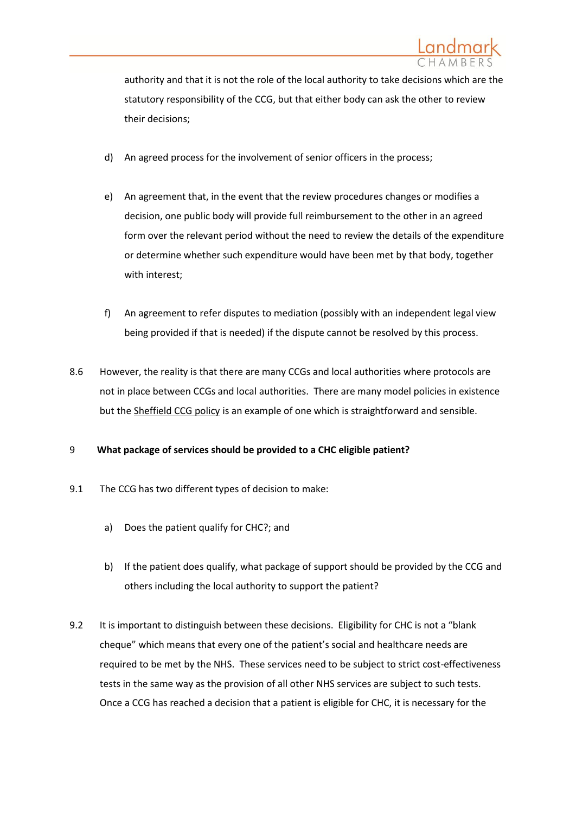

authority and that it is not the role of the local authority to take decisions which are the statutory responsibility of the CCG, but that either body can ask the other to review their decisions;

- d) An agreed process for the involvement of senior officers in the process;
- e) An agreement that, in the event that the review procedures changes or modifies a decision, one public body will provide full reimbursement to the other in an agreed form over the relevant period without the need to review the details of the expenditure or determine whether such expenditure would have been met by that body, together with interest;
- f) An agreement to refer disputes to mediation (possibly with an independent legal view being provided if that is needed) if the dispute cannot be resolved by this process.
- 8.6 However, the reality is that there are many CCGs and local authorities where protocols are not in place between CCGs and local authorities. There are many model policies in existence but the [Sheffield CCG policy](http://www.sheffieldccg.nhs.uk/Downloads/CHC%20documents/PDF%20Documents%2024th%20April/Disputes%20Policyfinalsignoffdec10.pdf) is an example of one which is straightforward and sensible.

# 9 **What package of services should be provided to a CHC eligible patient?**

- 9.1 The CCG has two different types of decision to make:
	- a) Does the patient qualify for CHC?; and
	- b) If the patient does qualify, what package of support should be provided by the CCG and others including the local authority to support the patient?
- 9.2 It is important to distinguish between these decisions. Eligibility for CHC is not a "blank cheque" which means that every one of the patient's social and healthcare needs are required to be met by the NHS. These services need to be subject to strict cost-effectiveness tests in the same way as the provision of all other NHS services are subject to such tests. Once a CCG has reached a decision that a patient is eligible for CHC, it is necessary for the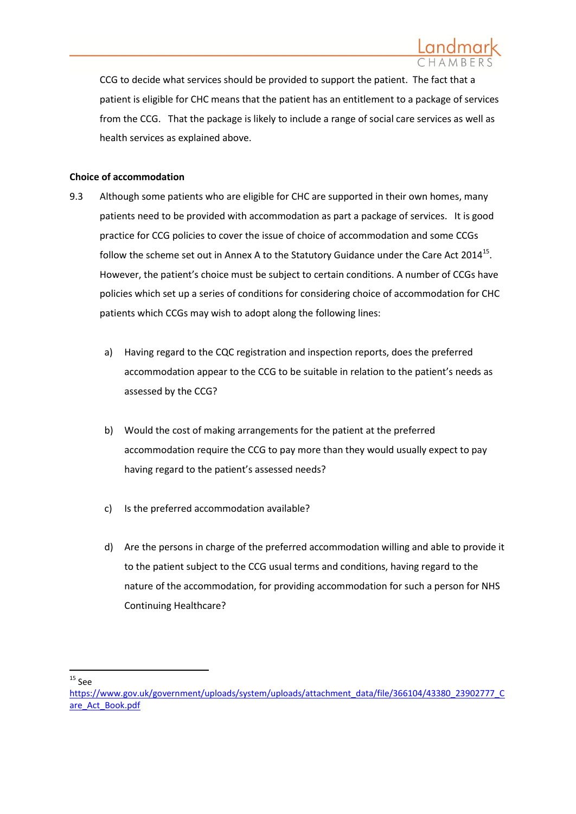

CCG to decide what services should be provided to support the patient. The fact that a patient is eligible for CHC means that the patient has an entitlement to a package of services from the CCG. That the package is likely to include a range of social care services as well as health services as explained above.

# **Choice of accommodation**

- 9.3 Although some patients who are eligible for CHC are supported in their own homes, many patients need to be provided with accommodation as part a package of services. It is good practice for CCG policies to cover the issue of choice of accommodation and some CCGs follow the scheme set out in Annex A to the Statutory Guidance under the Care Act 2014<sup>15</sup>. However, the patient's choice must be subject to certain conditions. A number of CCGs have policies which set up a series of conditions for considering choice of accommodation for CHC patients which CCGs may wish to adopt along the following lines:
	- a) Having regard to the CQC registration and inspection reports, does the preferred accommodation appear to the CCG to be suitable in relation to the patient's needs as assessed by the CCG?
	- b) Would the cost of making arrangements for the patient at the preferred accommodation require the CCG to pay more than they would usually expect to pay having regard to the patient's assessed needs?
	- c) Is the preferred accommodation available?
	- d) Are the persons in charge of the preferred accommodation willing and able to provide it to the patient subject to the CCG usual terms and conditions, having regard to the nature of the accommodation, for providing accommodation for such a person for NHS Continuing Healthcare?

<sup>-</sup> $15$  See

[https://www.gov.uk/government/uploads/system/uploads/attachment\\_data/file/366104/43380\\_23902777\\_C](https://www.gov.uk/government/uploads/system/uploads/attachment_data/file/366104/43380_23902777_Care_Act_Book.pdf) [are\\_Act\\_Book.pdf](https://www.gov.uk/government/uploads/system/uploads/attachment_data/file/366104/43380_23902777_Care_Act_Book.pdf)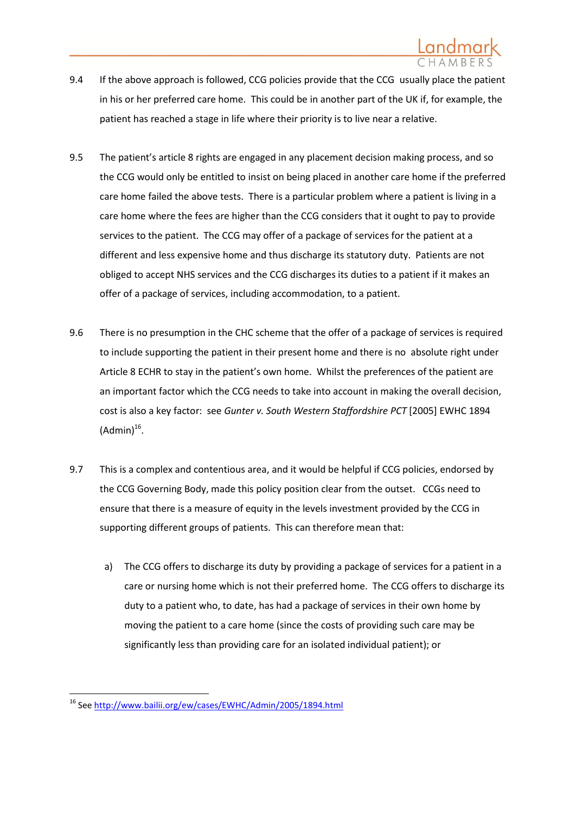

- 9.4 If the above approach is followed, CCG policies provide that the CCG usually place the patient in his or her preferred care home. This could be in another part of the UK if, for example, the patient has reached a stage in life where their priority is to live near a relative.
- 9.5 The patient's article 8 rights are engaged in any placement decision making process, and so the CCG would only be entitled to insist on being placed in another care home if the preferred care home failed the above tests. There is a particular problem where a patient is living in a care home where the fees are higher than the CCG considers that it ought to pay to provide services to the patient. The CCG may offer of a package of services for the patient at a different and less expensive home and thus discharge its statutory duty. Patients are not obliged to accept NHS services and the CCG discharges its duties to a patient if it makes an offer of a package of services, including accommodation, to a patient.
- 9.6 There is no presumption in the CHC scheme that the offer of a package of services is required to include supporting the patient in their present home and there is no absolute right under Article 8 ECHR to stay in the patient's own home. Whilst the preferences of the patient are an important factor which the CCG needs to take into account in making the overall decision, cost is also a key factor: see *Gunter v. South Western Staffordshire PCT* [2005] EWHC 1894 (Admin) $^{16}$ .
- 9.7 This is a complex and contentious area, and it would be helpful if CCG policies, endorsed by the CCG Governing Body, made this policy position clear from the outset. CCGs need to ensure that there is a measure of equity in the levels investment provided by the CCG in supporting different groups of patients. This can therefore mean that:
	- a) The CCG offers to discharge its duty by providing a package of services for a patient in a care or nursing home which is not their preferred home. The CCG offers to discharge its duty to a patient who, to date, has had a package of services in their own home by moving the patient to a care home (since the costs of providing such care may be significantly less than providing care for an isolated individual patient); or

-

<sup>&</sup>lt;sup>16</sup> Se[e http://www.bailii.org/ew/cases/EWHC/Admin/2005/1894.html](http://www.bailii.org/ew/cases/EWHC/Admin/2005/1894.html)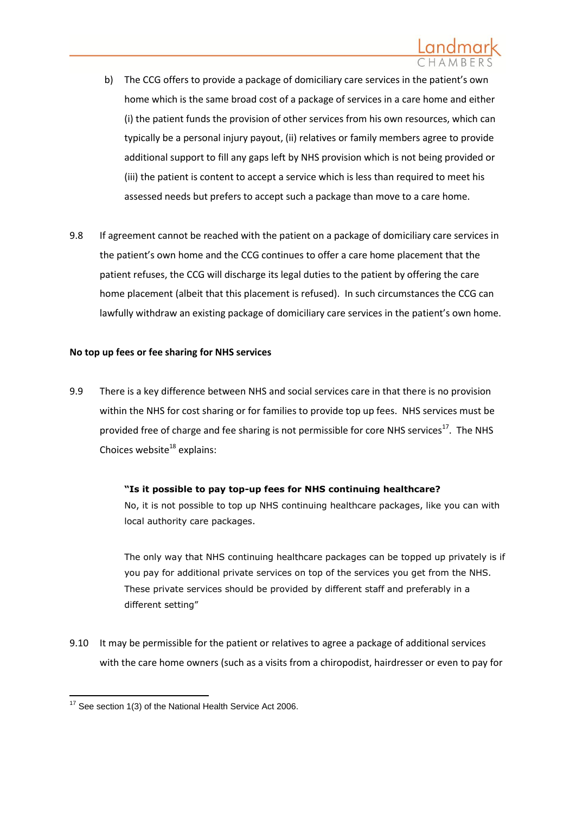

- b) The CCG offers to provide a package of domiciliary care services in the patient's own home which is the same broad cost of a package of services in a care home and either (i) the patient funds the provision of other services from his own resources, which can typically be a personal injury payout, (ii) relatives or family members agree to provide additional support to fill any gaps left by NHS provision which is not being provided or (iii) the patient is content to accept a service which is less than required to meet his assessed needs but prefers to accept such a package than move to a care home.
- 9.8 If agreement cannot be reached with the patient on a package of domiciliary care services in the patient's own home and the CCG continues to offer a care home placement that the patient refuses, the CCG will discharge its legal duties to the patient by offering the care home placement (albeit that this placement is refused). In such circumstances the CCG can lawfully withdraw an existing package of domiciliary care services in the patient's own home.

### **No top up fees or fee sharing for NHS services**

9.9 There is a key difference between NHS and social services care in that there is no provision within the NHS for cost sharing or for families to provide top up fees. NHS services must be provided free of charge and fee sharing is not permissible for core NHS services<sup>17</sup>. The NHS Choices website $18$  explains:

### **"Is it possible to pay top-up fees for NHS continuing healthcare?**

No, it is not possible to top up NHS continuing healthcare packages, like you can with local authority care packages.

The only way that NHS continuing healthcare packages can be topped up privately is if you pay for additional private services on top of the services you get from the NHS. These private services should be provided by different staff and preferably in a different setting"

9.10 It may be permissible for the patient or relatives to agree a package of additional services with the care home owners (such as a visits from a chiropodist, hairdresser or even to pay for

 $\overline{\phantom{a}}$  $17$  See section 1(3) of the National Health Service Act 2006.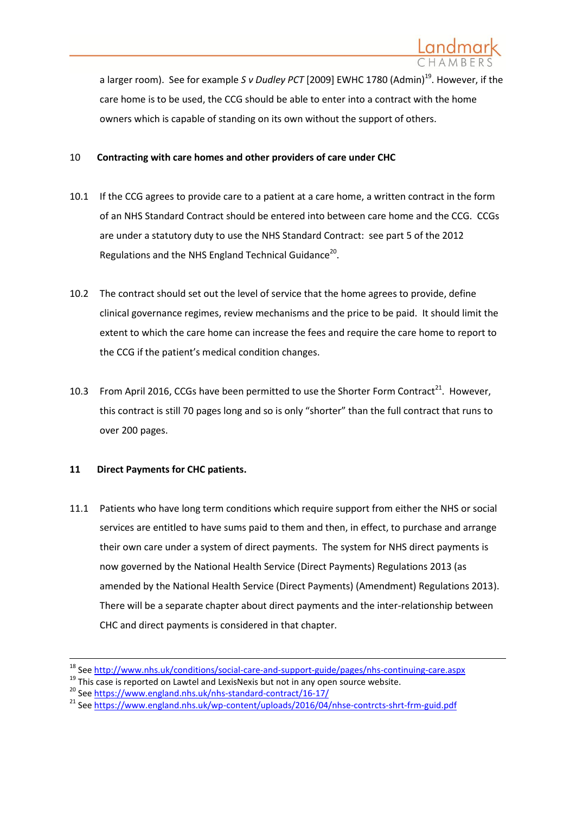

a larger room). See for example *S v Dudley PCT* [2009] EWHC 1780 (Admin)<sup>19</sup>. However, if the care home is to be used, the CCG should be able to enter into a contract with the home owners which is capable of standing on its own without the support of others.

# 10 **Contracting with care homes and other providers of care under CHC**

- 10.1 If the CCG agrees to provide care to a patient at a care home, a written contract in the form of an NHS Standard Contract should be entered into between care home and the CCG. CCGs are under a statutory duty to use the NHS Standard Contract: see part 5 of the 2012 Regulations and the NHS England Technical Guidance<sup>20</sup>.
- 10.2 The contract should set out the level of service that the home agrees to provide, define clinical governance regimes, review mechanisms and the price to be paid. It should limit the extent to which the care home can increase the fees and require the care home to report to the CCG if the patient's medical condition changes.
- 10.3 From April 2016, CCGs have been permitted to use the Shorter Form Contract<sup>21</sup>. However, this contract is still 70 pages long and so is only "shorter" than the full contract that runs to over 200 pages.

# **11 Direct Payments for CHC patients.**

-

11.1 Patients who have long term conditions which require support from either the NHS or social services are entitled to have sums paid to them and then, in effect, to purchase and arrange their own care under a system of direct payments. The system for NHS direct payments is now governed by the National Health Service (Direct Payments) Regulations 2013 (as amended by the National Health Service (Direct Payments) (Amendment) Regulations 2013). There will be a separate chapter about direct payments and the inter-relationship between CHC and direct payments is considered in that chapter.

<sup>&</sup>lt;sup>18</sup> Se[e http://www.nhs.uk/conditions/social-care-and-support-guide/pages/nhs-continuing-care.aspx](http://www.nhs.uk/conditions/social-care-and-support-guide/pages/nhs-continuing-care.aspx)

 $19$  This case is reported on Lawtel and LexisNexis but not in any open source website.

<sup>&</sup>lt;sup>20</sup> Se[e https://www.england.nhs.uk/nhs-standard-contract/16-17/](https://www.england.nhs.uk/nhs-standard-contract/16-17/)

<sup>&</sup>lt;sup>21</sup> Se[e https://www.england.nhs.uk/wp-content/uploads/2016/04/nhse-contrcts-shrt-frm-guid.pdf](https://www.england.nhs.uk/wp-content/uploads/2016/04/nhse-contrcts-shrt-frm-guid.pdf)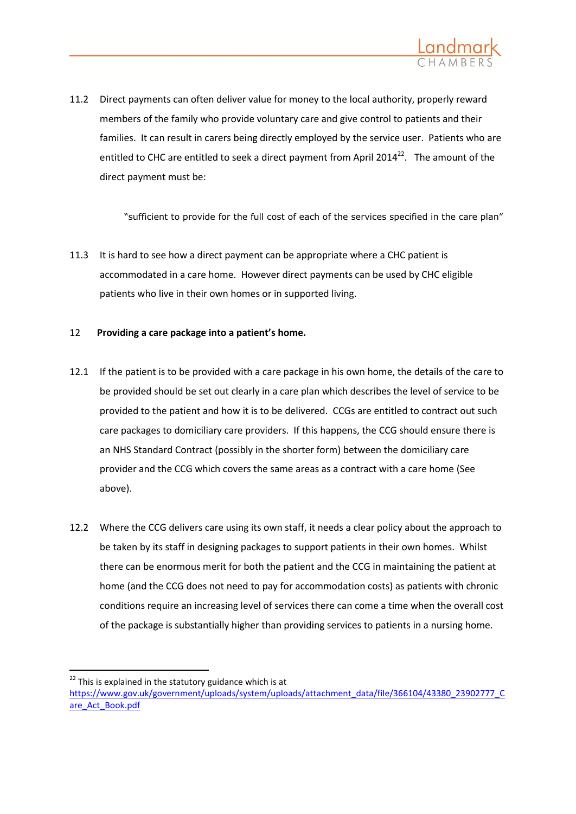

11.2 Direct payments can often deliver value for money to the local authority, properly reward members of the family who provide voluntary care and give control to patients and their families. It can result in carers being directly employed by the service user. Patients who are entitled to CHC are entitled to seek a direct payment from April 2014 $^{22}$ . The amount of the direct payment must be:

"sufficient to provide for the full cost of each of the services specified in the care plan"

11.3 It is hard to see how a direct payment can be appropriate where a CHC patient is accommodated in a care home. However direct payments can be used by CHC eligible patients who live in their own homes or in supported living.

# 12 **Providing a care package into a patient's home.**

-

- 12.1 If the patient is to be provided with a care package in his own home, the details of the care to be provided should be set out clearly in a care plan which describes the level of service to be provided to the patient and how it is to be delivered. CCGs are entitled to contract out such care packages to domiciliary care providers. If this happens, the CCG should ensure there is an NHS Standard Contract (possibly in the shorter form) between the domiciliary care provider and the CCG which covers the same areas as a contract with a care home (See above).
- 12.2 Where the CCG delivers care using its own staff, it needs a clear policy about the approach to be taken by its staff in designing packages to support patients in their own homes. Whilst there can be enormous merit for both the patient and the CCG in maintaining the patient at home (and the CCG does not need to pay for accommodation costs) as patients with chronic conditions require an increasing level of services there can come a time when the overall cost of the package is substantially higher than providing services to patients in a nursing home.

 $22$  This is explained in the statutory guidance which is at [https://www.gov.uk/government/uploads/system/uploads/attachment\\_data/file/366104/43380\\_23902777\\_C](https://www.gov.uk/government/uploads/system/uploads/attachment_data/file/366104/43380_23902777_Care_Act_Book.pdf) [are\\_Act\\_Book.pdf](https://www.gov.uk/government/uploads/system/uploads/attachment_data/file/366104/43380_23902777_Care_Act_Book.pdf)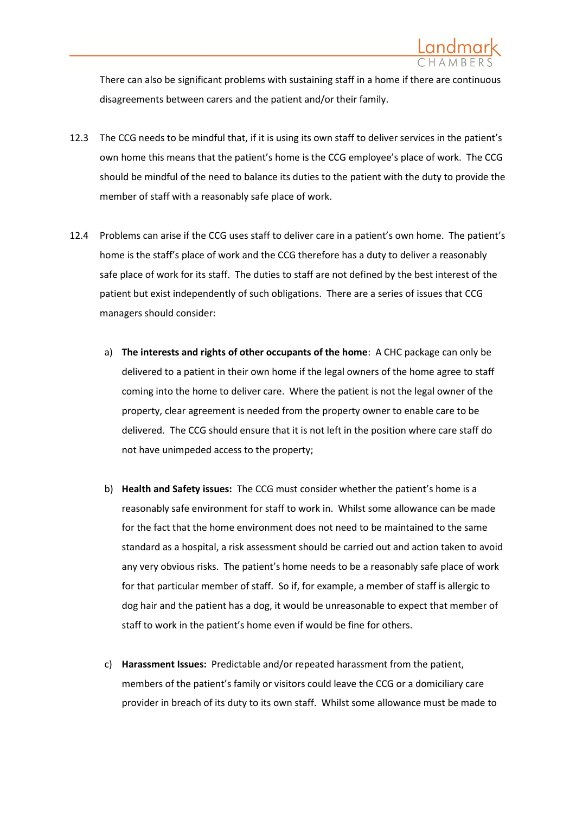

There can also be significant problems with sustaining staff in a home if there are continuous disagreements between carers and the patient and/or their family.

- 12.3 The CCG needs to be mindful that, if it is using its own staff to deliver services in the patient's own home this means that the patient's home is the CCG employee's place of work. The CCG should be mindful of the need to balance its duties to the patient with the duty to provide the member of staff with a reasonably safe place of work.
- 12.4 Problems can arise if the CCG uses staff to deliver care in a patient's own home. The patient's home is the staff's place of work and the CCG therefore has a duty to deliver a reasonably safe place of work for its staff. The duties to staff are not defined by the best interest of the patient but exist independently of such obligations. There are a series of issues that CCG managers should consider:
	- a) **The interests and rights of other occupants of the home**: A CHC package can only be delivered to a patient in their own home if the legal owners of the home agree to staff coming into the home to deliver care. Where the patient is not the legal owner of the property, clear agreement is needed from the property owner to enable care to be delivered. The CCG should ensure that it is not left in the position where care staff do not have unimpeded access to the property;
	- b) **Health and Safety issues:** The CCG must consider whether the patient's home is a reasonably safe environment for staff to work in. Whilst some allowance can be made for the fact that the home environment does not need to be maintained to the same standard as a hospital, a risk assessment should be carried out and action taken to avoid any very obvious risks. The patient's home needs to be a reasonably safe place of work for that particular member of staff. So if, for example, a member of staff is allergic to dog hair and the patient has a dog, it would be unreasonable to expect that member of staff to work in the patient's home even if would be fine for others.
	- c) **Harassment Issues:** Predictable and/or repeated harassment from the patient, members of the patient's family or visitors could leave the CCG or a domiciliary care provider in breach of its duty to its own staff. Whilst some allowance must be made to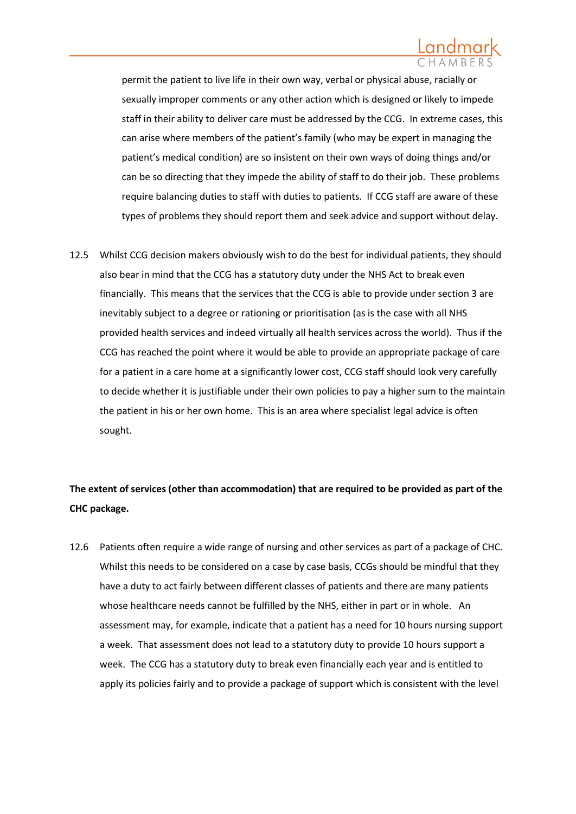permit the patient to live life in their own way, verbal or physical abuse, racially or sexually improper comments or any other action which is designed or likely to impede staff in their ability to deliver care must be addressed by the CCG. In extreme cases, this can arise where members of the patient's family (who may be expert in managing the patient's medical condition) are so insistent on their own ways of doing things and/or can be so directing that they impede the ability of staff to do their job. These problems require balancing duties to staff with duties to patients. If CCG staff are aware of these types of problems they should report them and seek advice and support without delay.

12.5 Whilst CCG decision makers obviously wish to do the best for individual patients, they should also bear in mind that the CCG has a statutory duty under the NHS Act to break even financially. This means that the services that the CCG is able to provide under section 3 are inevitably subject to a degree or rationing or prioritisation (as is the case with all NHS provided health services and indeed virtually all health services across the world). Thus if the CCG has reached the point where it would be able to provide an appropriate package of care for a patient in a care home at a significantly lower cost, CCG staff should look very carefully to decide whether it is justifiable under their own policies to pay a higher sum to the maintain the patient in his or her own home. This is an area where specialist legal advice is often sought.

# **The extent of services (other than accommodation) that are required to be provided as part of the CHC package.**

12.6 Patients often require a wide range of nursing and other services as part of a package of CHC. Whilst this needs to be considered on a case by case basis, CCGs should be mindful that they have a duty to act fairly between different classes of patients and there are many patients whose healthcare needs cannot be fulfilled by the NHS, either in part or in whole. An assessment may, for example, indicate that a patient has a need for 10 hours nursing support a week. That assessment does not lead to a statutory duty to provide 10 hours support a week. The CCG has a statutory duty to break even financially each year and is entitled to apply its policies fairly and to provide a package of support which is consistent with the level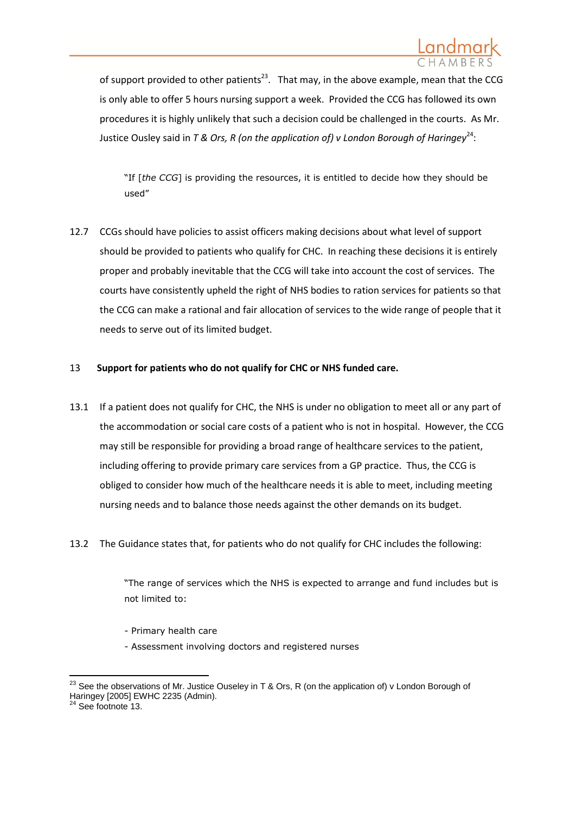

of support provided to other patients<sup>23</sup>. That may, in the above example, mean that the CCG is only able to offer 5 hours nursing support a week. Provided the CCG has followed its own procedures it is highly unlikely that such a decision could be challenged in the courts. As Mr. Justice Ousley said in T & *Ors, R (on the application of) v London Borough of Haringey<sup>24</sup>:* 

"If [*the CCG*] is providing the resources, it is entitled to decide how they should be used"

12.7 CCGs should have policies to assist officers making decisions about what level of support should be provided to patients who qualify for CHC. In reaching these decisions it is entirely proper and probably inevitable that the CCG will take into account the cost of services. The courts have consistently upheld the right of NHS bodies to ration services for patients so that the CCG can make a rational and fair allocation of services to the wide range of people that it needs to serve out of its limited budget.

# 13 **Support for patients who do not qualify for CHC or NHS funded care.**

- 13.1 If a patient does not qualify for CHC, the NHS is under no obligation to meet all or any part of the accommodation or social care costs of a patient who is not in hospital. However, the CCG may still be responsible for providing a broad range of healthcare services to the patient, including offering to provide primary care services from a GP practice. Thus, the CCG is obliged to consider how much of the healthcare needs it is able to meet, including meeting nursing needs and to balance those needs against the other demands on its budget.
- 13.2 The Guidance states that, for patients who do not qualify for CHC includes the following:

"The range of services which the NHS is expected to arrange and fund includes but is not limited to:

- Primary health care
- Assessment involving doctors and registered nurses

 $\overline{\phantom{a}}$ 

<sup>&</sup>lt;sup>23</sup> See the observations of Mr. Justice Ouseley in T & Ors, R (on the application of) v London Borough of Haringey [2005] EWHC 2235 (Admin).

See footnote 13.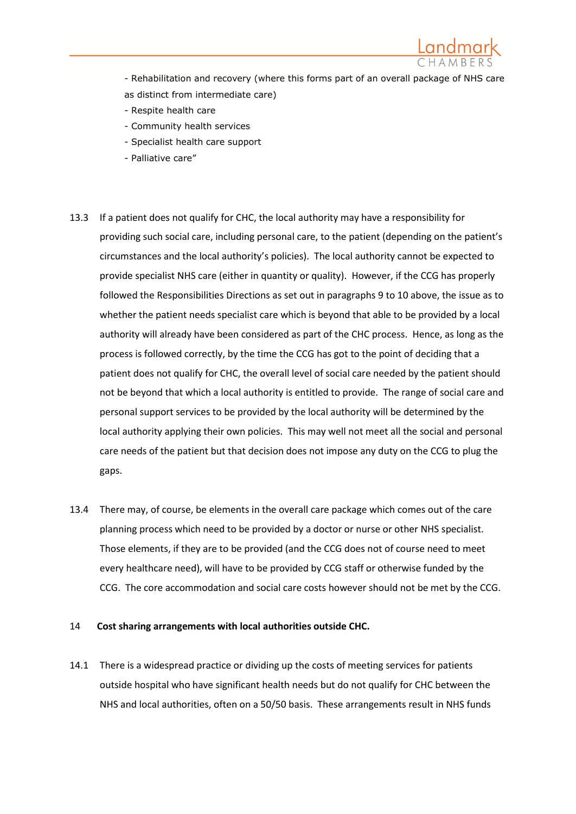- Rehabilitation and recovery (where this forms part of an overall package of NHS care as distinct from intermediate care)

- Respite health care
- Community health services
- Specialist health care support
- Palliative care"
- 13.3 If a patient does not qualify for CHC, the local authority may have a responsibility for providing such social care, including personal care, to the patient (depending on the patient's circumstances and the local authority's policies). The local authority cannot be expected to provide specialist NHS care (either in quantity or quality). However, if the CCG has properly followed the Responsibilities Directions as set out in paragraphs 9 to 10 above, the issue as to whether the patient needs specialist care which is beyond that able to be provided by a local authority will already have been considered as part of the CHC process. Hence, as long as the process is followed correctly, by the time the CCG has got to the point of deciding that a patient does not qualify for CHC, the overall level of social care needed by the patient should not be beyond that which a local authority is entitled to provide. The range of social care and personal support services to be provided by the local authority will be determined by the local authority applying their own policies. This may well not meet all the social and personal care needs of the patient but that decision does not impose any duty on the CCG to plug the gaps.
- 13.4 There may, of course, be elements in the overall care package which comes out of the care planning process which need to be provided by a doctor or nurse or other NHS specialist. Those elements, if they are to be provided (and the CCG does not of course need to meet every healthcare need), will have to be provided by CCG staff or otherwise funded by the CCG. The core accommodation and social care costs however should not be met by the CCG.

#### 14 **Cost sharing arrangements with local authorities outside CHC.**

14.1 There is a widespread practice or dividing up the costs of meeting services for patients outside hospital who have significant health needs but do not qualify for CHC between the NHS and local authorities, often on a 50/50 basis. These arrangements result in NHS funds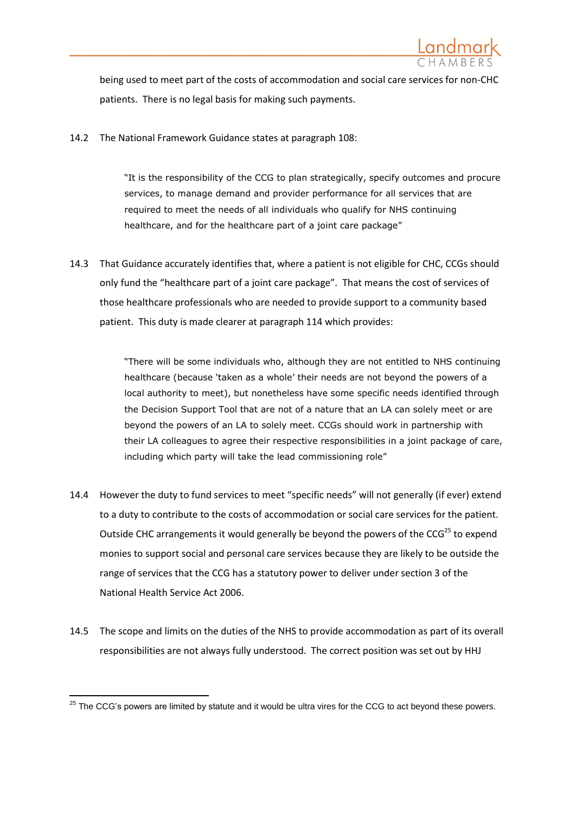

being used to meet part of the costs of accommodation and social care services for non-CHC patients. There is no legal basis for making such payments.

14.2 The National Framework Guidance states at paragraph 108:

"It is the responsibility of the CCG to plan strategically, specify outcomes and procure services, to manage demand and provider performance for all services that are required to meet the needs of all individuals who qualify for NHS continuing healthcare, and for the healthcare part of a joint care package"

14.3 That Guidance accurately identifies that, where a patient is not eligible for CHC, CCGs should only fund the "healthcare part of a joint care package". That means the cost of services of those healthcare professionals who are needed to provide support to a community based patient. This duty is made clearer at paragraph 114 which provides:

> "There will be some individuals who, although they are not entitled to NHS continuing healthcare (because 'taken as a whole' their needs are not beyond the powers of a local authority to meet), but nonetheless have some specific needs identified through the Decision Support Tool that are not of a nature that an LA can solely meet or are beyond the powers of an LA to solely meet. CCGs should work in partnership with their LA colleagues to agree their respective responsibilities in a joint package of care, including which party will take the lead commissioning role"

- 14.4 However the duty to fund services to meet "specific needs" will not generally (if ever) extend to a duty to contribute to the costs of accommodation or social care services for the patient. Outside CHC arrangements it would generally be beyond the powers of the  $CCG<sup>25</sup>$  to expend monies to support social and personal care services because they are likely to be outside the range of services that the CCG has a statutory power to deliver under section 3 of the National Health Service Act 2006.
- 14.5 The scope and limits on the duties of the NHS to provide accommodation as part of its overall responsibilities are not always fully understood. The correct position was set out by HHJ

 $\overline{\phantom{a}}$ 

 $^{25}$  The CCG's powers are limited by statute and it would be ultra vires for the CCG to act beyond these powers.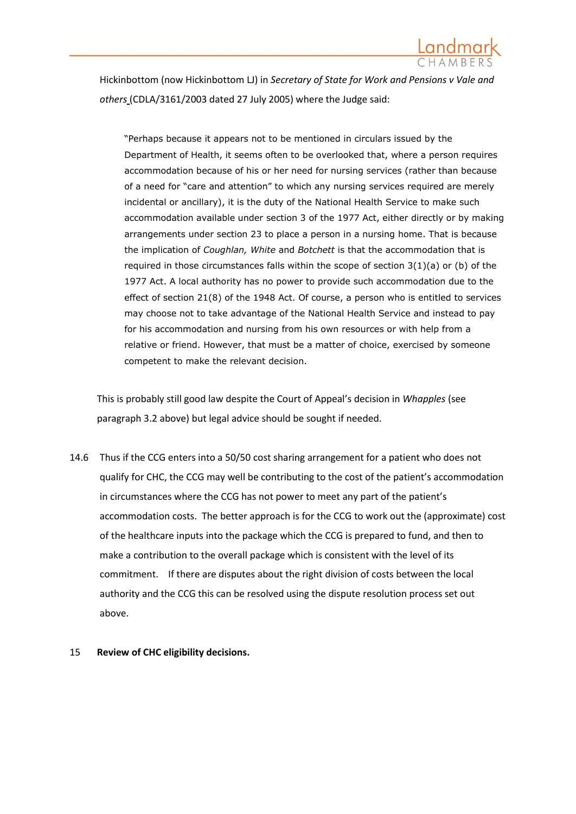

Hickinbottom (now Hickinbottom LJ) in *Secretary of State for Work and Pensions v Vale and others* (CDLA/3161/2003 dated 27 July 2005) where the Judge said:

"Perhaps because it appears not to be mentioned in circulars issued by the Department of Health, it seems often to be overlooked that, where a person requires accommodation because of his or her need for nursing services (rather than because of a need for "care and attention" to which any nursing services required are merely incidental or ancillary), it is the duty of the National Health Service to make such accommodation available under section 3 of the 1977 Act, either directly or by making arrangements under section 23 to place a person in a nursing home. That is because the implication of *Coughlan, White* and *Botchett* is that the accommodation that is required in those circumstances falls within the scope of section  $3(1)(a)$  or (b) of the 1977 Act. A local authority has no power to provide such accommodation due to the effect of section 21(8) of the 1948 Act. Of course, a person who is entitled to services may choose not to take advantage of the National Health Service and instead to pay for his accommodation and nursing from his own resources or with help from a relative or friend. However, that must be a matter of choice, exercised by someone competent to make the relevant decision.

This is probably still good law despite the Court of Appeal's decision in *Whapples* (see paragraph [3.2](#page-15-0) above) but legal advice should be sought if needed.

- 14.6 Thus if the CCG enters into a 50/50 cost sharing arrangement for a patient who does not qualify for CHC, the CCG may well be contributing to the cost of the patient's accommodation in circumstances where the CCG has not power to meet any part of the patient's accommodation costs. The better approach is for the CCG to work out the (approximate) cost of the healthcare inputs into the package which the CCG is prepared to fund, and then to make a contribution to the overall package which is consistent with the level of its commitment. If there are disputes about the right division of costs between the local authority and the CCG this can be resolved using the dispute resolution process set out above.
- 15 **Review of CHC eligibility decisions.**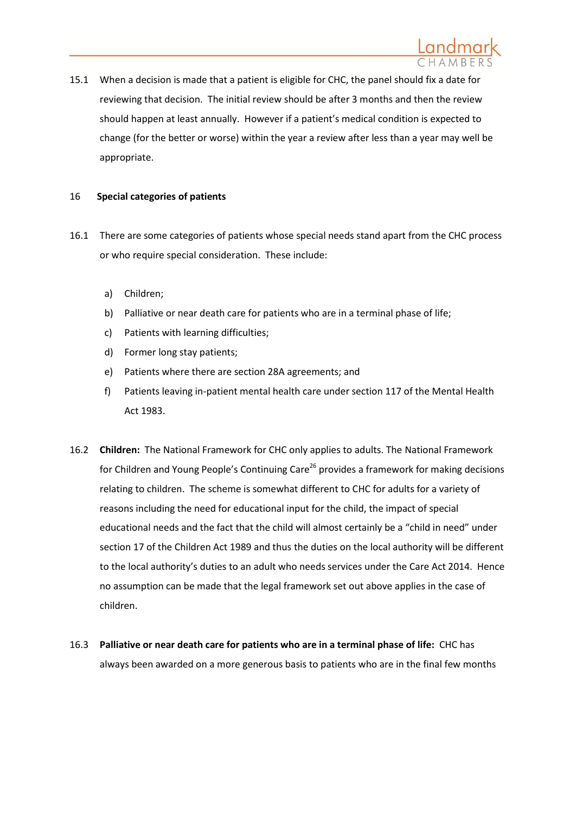

15.1 When a decision is made that a patient is eligible for CHC, the panel should fix a date for reviewing that decision. The initial review should be after 3 months and then the review should happen at least annually. However if a patient's medical condition is expected to change (for the better or worse) within the year a review after less than a year may well be appropriate.

# 16 **Special categories of patients**

- 16.1 There are some categories of patients whose special needs stand apart from the CHC process or who require special consideration. These include:
	- a) Children;
	- b) Palliative or near death care for patients who are in a terminal phase of life;
	- c) Patients with learning difficulties;
	- d) Former long stay patients;
	- e) Patients where there are section 28A agreements; and
	- f) Patients leaving in-patient mental health care under section 117 of the Mental Health Act 1983.
- 16.2 **Children:** The National Framework for CHC only applies to adults. The National Framework for Children and Young People's Continuing Care<sup>26</sup> provides a framework for making decisions relating to children. The scheme is somewhat different to CHC for adults for a variety of reasons including the need for educational input for the child, the impact of special educational needs and the fact that the child will almost certainly be a "child in need" under section 17 of the Children Act 1989 and thus the duties on the local authority will be different to the local authority's duties to an adult who needs services under the Care Act 2014. Hence no assumption can be made that the legal framework set out above applies in the case of children.
- 16.3 **Palliative or near death care for patients who are in a terminal phase of life:** CHC has always been awarded on a more generous basis to patients who are in the final few months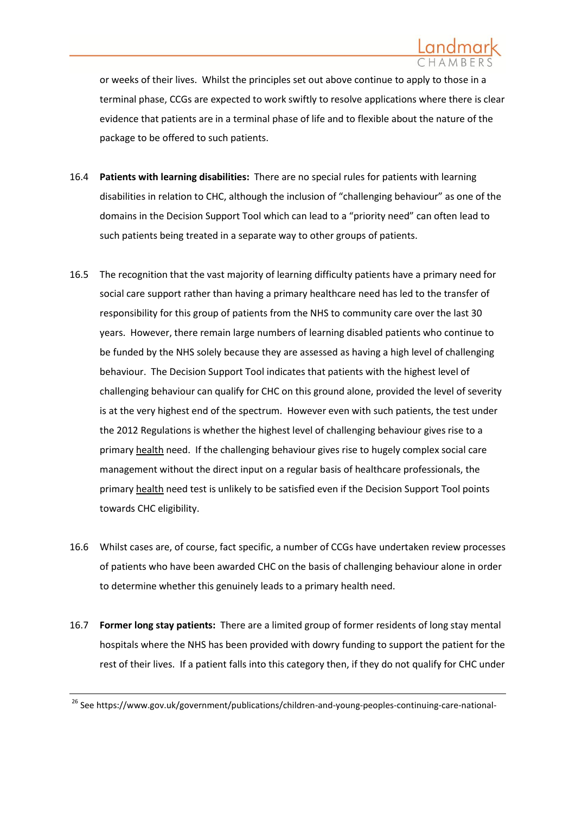

or weeks of their lives. Whilst the principles set out above continue to apply to those in a terminal phase, CCGs are expected to work swiftly to resolve applications where there is clear evidence that patients are in a terminal phase of life and to flexible about the nature of the package to be offered to such patients.

- 16.4 **Patients with learning disabilities:** There are no special rules for patients with learning disabilities in relation to CHC, although the inclusion of "challenging behaviour" as one of the domains in the Decision Support Tool which can lead to a "priority need" can often lead to such patients being treated in a separate way to other groups of patients.
- 16.5 The recognition that the vast majority of learning difficulty patients have a primary need for social care support rather than having a primary healthcare need has led to the transfer of responsibility for this group of patients from the NHS to community care over the last 30 years. However, there remain large numbers of learning disabled patients who continue to be funded by the NHS solely because they are assessed as having a high level of challenging behaviour. The Decision Support Tool indicates that patients with the highest level of challenging behaviour can qualify for CHC on this ground alone, provided the level of severity is at the very highest end of the spectrum. However even with such patients, the test under the 2012 Regulations is whether the highest level of challenging behaviour gives rise to a primary health need. If the challenging behaviour gives rise to hugely complex social care management without the direct input on a regular basis of healthcare professionals, the primary health need test is unlikely to be satisfied even if the Decision Support Tool points towards CHC eligibility.
- 16.6 Whilst cases are, of course, fact specific, a number of CCGs have undertaken review processes of patients who have been awarded CHC on the basis of challenging behaviour alone in order to determine whether this genuinely leads to a primary health need.
- 16.7 **Former long stay patients:** There are a limited group of former residents of long stay mental hospitals where the NHS has been provided with dowry funding to support the patient for the rest of their lives. If a patient falls into this category then, if they do not qualify for CHC under

-

<sup>&</sup>lt;sup>26</sup> See https://www.gov.uk/government/publications/children-and-young-peoples-continuing-care-national-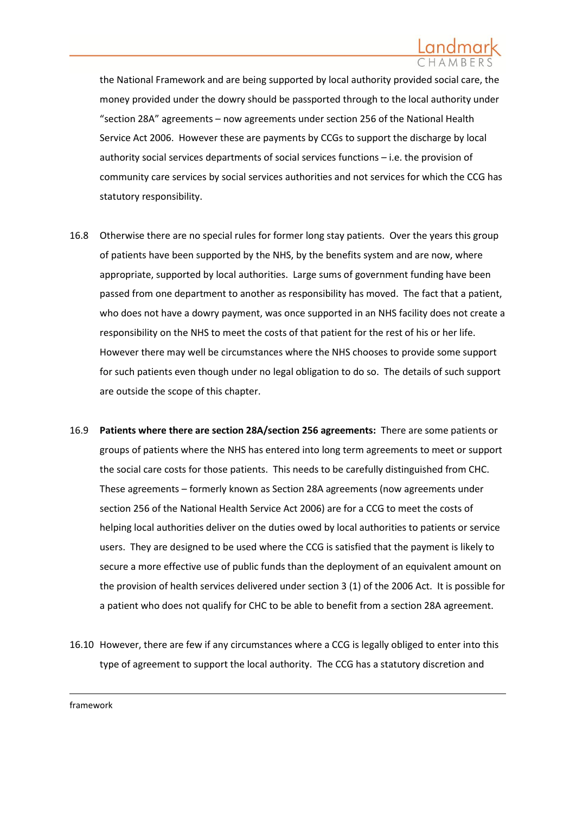the National Framework and are being supported by local authority provided social care, the money provided under the dowry should be passported through to the local authority under "section 28A" agreements – now agreements under section 256 of the National Health Service Act 2006. However these are payments by CCGs to support the discharge by local authority social services departments of social services functions – i.e. the provision of community care services by social services authorities and not services for which the CCG has statutory responsibility.

- 16.8 Otherwise there are no special rules for former long stay patients. Over the years this group of patients have been supported by the NHS, by the benefits system and are now, where appropriate, supported by local authorities. Large sums of government funding have been passed from one department to another as responsibility has moved. The fact that a patient, who does not have a dowry payment, was once supported in an NHS facility does not create a responsibility on the NHS to meet the costs of that patient for the rest of his or her life. However there may well be circumstances where the NHS chooses to provide some support for such patients even though under no legal obligation to do so. The details of such support are outside the scope of this chapter.
- 16.9 **Patients where there are section 28A/section 256 agreements:** There are some patients or groups of patients where the NHS has entered into long term agreements to meet or support the social care costs for those patients. This needs to be carefully distinguished from CHC. These agreements – formerly known as Section 28A agreements (now agreements under section 256 of the National Health Service Act 2006) are for a CCG to meet the costs of helping local authorities deliver on the duties owed by local authorities to patients or service users. They are designed to be used where the CCG is satisfied that the payment is likely to secure a more effective use of public funds than the deployment of an equivalent amount on the provision of health services delivered under section 3 (1) of the 2006 Act. It is possible for a patient who does not qualify for CHC to be able to benefit from a section 28A agreement.
- 16.10 However, there are few if any circumstances where a CCG is legally obliged to enter into this type of agreement to support the local authority. The CCG has a statutory discretion and

framework

-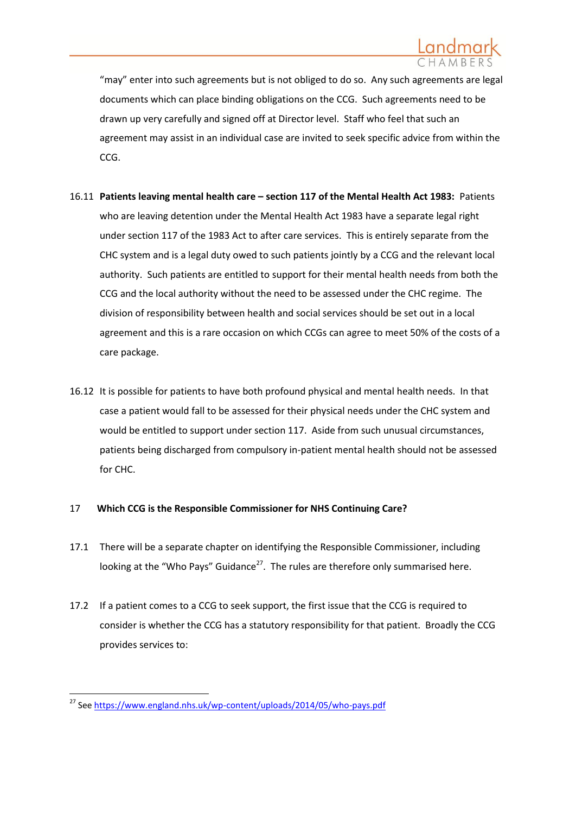

"may" enter into such agreements but is not obliged to do so. Any such agreements are legal documents which can place binding obligations on the CCG. Such agreements need to be drawn up very carefully and signed off at Director level. Staff who feel that such an agreement may assist in an individual case are invited to seek specific advice from within the CCG.

- 16.11 **Patients leaving mental health care – section 117 of the Mental Health Act 1983:** Patients who are leaving detention under the Mental Health Act 1983 have a separate legal right under section 117 of the 1983 Act to after care services. This is entirely separate from the CHC system and is a legal duty owed to such patients jointly by a CCG and the relevant local authority. Such patients are entitled to support for their mental health needs from both the CCG and the local authority without the need to be assessed under the CHC regime. The division of responsibility between health and social services should be set out in a local agreement and this is a rare occasion on which CCGs can agree to meet 50% of the costs of a care package.
- 16.12 It is possible for patients to have both profound physical and mental health needs. In that case a patient would fall to be assessed for their physical needs under the CHC system and would be entitled to support under section 117. Aside from such unusual circumstances, patients being discharged from compulsory in-patient mental health should not be assessed for CHC.

# 17 **Which CCG is the Responsible Commissioner for NHS Continuing Care?**

- 17.1 There will be a separate chapter on identifying the Responsible Commissioner, including looking at the "Who Pays" Guidance<sup>27</sup>. The rules are therefore only summarised here.
- 17.2 If a patient comes to a CCG to seek support, the first issue that the CCG is required to consider is whether the CCG has a statutory responsibility for that patient. Broadly the CCG provides services to:

<sup>27</sup> Se[e https://www.england.nhs.uk/wp-content/uploads/2014/05/who-pays.pdf](https://www.england.nhs.uk/wp-content/uploads/2014/05/who-pays.pdf)